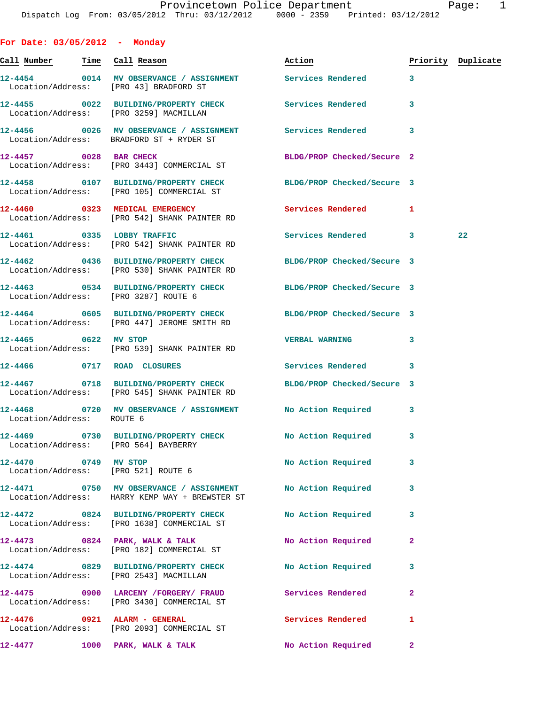| For Date: $03/05/2012$ - Monday       |                                                                                                                 |                            |                |                    |
|---------------------------------------|-----------------------------------------------------------------------------------------------------------------|----------------------------|----------------|--------------------|
| <u>Call Number — Time Call</u> Reason |                                                                                                                 | Action                     |                | Priority Duplicate |
|                                       | 12-4454 0014 MV OBSERVANCE / ASSIGNMENT Services Rendered 3<br>Location/Address: [PRO 43] BRADFORD ST           |                            |                |                    |
|                                       | 12-4455 0022 BUILDING/PROPERTY CHECK Services Rendered<br>Location/Address: [PRO 3259] MACMILLAN                |                            | 3              |                    |
|                                       | 12-4456  0026 MV OBSERVANCE / ASSIGNMENT Services Rendered 3<br>Location/Address: BRADFORD ST + RYDER ST        |                            |                |                    |
|                                       | 12-4457 0028 BAR CHECK<br>Location/Address: [PRO 3443] COMMERCIAL ST                                            | BLDG/PROP Checked/Secure 2 |                |                    |
|                                       | 12-4458 0107 BUILDING/PROPERTY CHECK BLDG/PROP Checked/Secure 3<br>Location/Address: [PRO 105] COMMERCIAL ST    |                            |                |                    |
|                                       | 12-4460 0323 MEDICAL EMERGENCY<br>Location/Address: [PRO 542] SHANK PAINTER RD                                  | <b>Services Rendered</b>   | 1              |                    |
|                                       | 12-4461 0335 LOBBY TRAFFIC<br>Location/Address: [PRO 542] SHANK PAINTER RD                                      | Services Rendered 3        |                | 22                 |
|                                       | 12-4462 0436 BUILDING/PROPERTY CHECK BLDG/PROP Checked/Secure 3<br>Location/Address: [PRO 530] SHANK PAINTER RD |                            |                |                    |
|                                       | 12-4463 0534 BUILDING/PROPERTY CHECK BLDG/PROP Checked/Secure 3<br>Location/Address: [PRO 3287] ROUTE 6         |                            |                |                    |
|                                       | 12-4464 0605 BUILDING/PROPERTY CHECK BLDG/PROP Checked/Secure 3<br>Location/Address: [PRO 447] JEROME SMITH RD  |                            |                |                    |
| 12-4465 0622 MV STOP                  | Location/Address: [PRO 539] SHANK PAINTER RD                                                                    | <b>VERBAL WARNING</b>      | 3              |                    |
|                                       | 12-4466 0717 ROAD CLOSURES                                                                                      | Services Rendered 3        |                |                    |
|                                       | 12-4467 0718 BUILDING/PROPERTY CHECK BLDG/PROP Checked/Secure 3<br>Location/Address: [PRO 545] SHANK PAINTER RD |                            |                |                    |
| Location/Address: ROUTE 6             | 12-4468 0720 MV OBSERVANCE / ASSIGNMENT No Action Required 3                                                    |                            |                |                    |
|                                       | 12-4469 0730 BUILDING/PROPERTY CHECK<br>Location/Address: [PRO 564] BAYBERRY                                    | No Action Required         |                |                    |
|                                       | 12-4470 0749 MV STOP<br>Location/Address: [PRO 521] ROUTE 6                                                     | No Action Required         | 3              |                    |
|                                       | 12-4471 0750 MV OBSERVANCE / ASSIGNMENT<br>Location/Address: HARRY KEMP WAY + BREWSTER ST                       | No Action Required         | 3              |                    |
|                                       | 12-4472 0824 BUILDING/PROPERTY CHECK<br>Location/Address: [PRO 1638] COMMERCIAL ST                              | No Action Required         | 3              |                    |
|                                       | $12-4473$ 0824 PARK, WALK & TALK<br>Location/Address: [PRO 182] COMMERCIAL ST                                   | No Action Required         | $\overline{a}$ |                    |
|                                       | 12-4474 0829 BUILDING/PROPERTY CHECK<br>Location/Address: [PRO 2543] MACMILLAN                                  | No Action Required         | 3              |                    |
|                                       | 12-4475 0900 LARCENY / FORGERY / FRAUD Services Rendered<br>Location/Address: [PRO 3430] COMMERCIAL ST          |                            | $\mathbf{2}$   |                    |
|                                       | Location/Address: [PRO 2093] COMMERCIAL ST                                                                      | Services Rendered          | 1              |                    |
|                                       | $12-4477$ 1000 PARK, WALK & TALK                                                                                | No Action Required         | $\mathbf{2}$   |                    |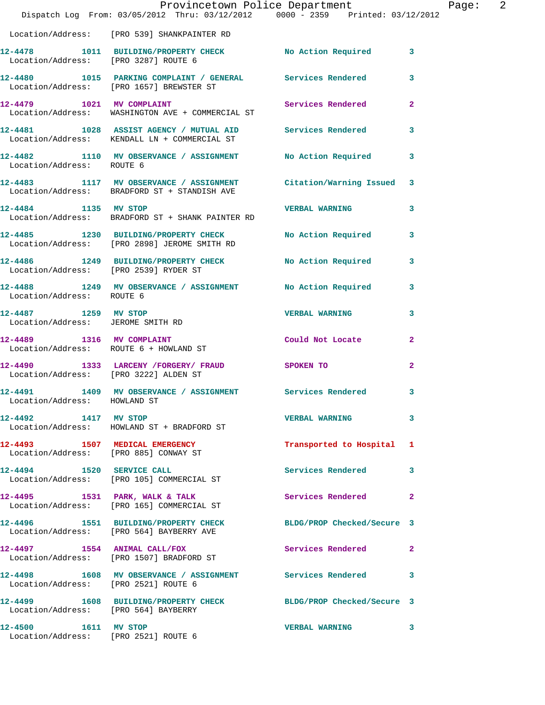|                                                              | Dispatch Log From: 03/05/2012 Thru: 03/12/2012 0000 - 2359 Printed: 03/12/2012                            | Provincetown Police Department |                         | Page: | $\overline{\phantom{0}}$ 2 |
|--------------------------------------------------------------|-----------------------------------------------------------------------------------------------------------|--------------------------------|-------------------------|-------|----------------------------|
|                                                              | Location/Address: [PRO 539] SHANKPAINTER RD                                                               |                                |                         |       |                            |
| Location/Address: [PRO 3287] ROUTE 6                         | 12-4478 1011 BUILDING/PROPERTY CHECK No Action Required 3                                                 |                                |                         |       |                            |
|                                                              | 12-4480 1015 PARKING COMPLAINT / GENERAL Services Rendered<br>Location/Address: [PRO 1657] BREWSTER ST    |                                | 3                       |       |                            |
| 12-4479 1021 MV COMPLAINT                                    | Location/Address: WASHINGTON AVE + COMMERCIAL ST                                                          | Services Rendered 2            |                         |       |                            |
|                                                              | 12-4481 1028 ASSIST AGENCY / MUTUAL AID Services Rendered<br>Location/Address: KENDALL LN + COMMERCIAL ST |                                | $\overline{\mathbf{3}}$ |       |                            |
| Location/Address: ROUTE 6                                    | 12-4482 1110 MV OBSERVANCE / ASSIGNMENT No Action Required 3                                              |                                |                         |       |                            |
|                                                              | 12-4483 1117 MV OBSERVANCE / ASSIGNMENT<br>Location/Address: BRADFORD ST + STANDISH AVE                   | Citation/Warning Issued 3      |                         |       |                            |
| 12-4484 1135 MV STOP                                         | Location/Address: BRADFORD ST + SHANK PAINTER RD                                                          | <b>VERBAL WARNING</b>          | 3                       |       |                            |
|                                                              | 12-4485 1230 BUILDING/PROPERTY CHECK<br>Location/Address: [PRO 2898] JEROME SMITH RD                      | No Action Required             | $\mathbf{3}$            |       |                            |
|                                                              | 12-4486 1249 BUILDING/PROPERTY CHECK No Action Required 3<br>Location/Address: [PRO 2539] RYDER ST        |                                |                         |       |                            |
| Location/Address: ROUTE 6                                    | 12-4488 1249 MV OBSERVANCE / ASSIGNMENT No Action Required 3                                              |                                |                         |       |                            |
| 12-4487 1259 MV STOP<br>Location/Address: JEROME SMITH RD    |                                                                                                           | <b>VERBAL WARNING</b>          | 3                       |       |                            |
|                                                              | 12-4489 1316 MV COMPLAINT<br>Location/Address: ROUTE 6 + HOWLAND ST                                       | Could Not Locate               | $\mathbf{2}$            |       |                            |
| Location/Address: [PRO 3222] ALDEN ST                        | 12-4490 1333 LARCENY /FORGERY / FRAUD SPOKEN TO                                                           |                                | $\overline{2}$          |       |                            |
| 12-4491<br>Location/Address: HOWLAND ST                      | 1409 MV OBSERVANCE / ASSIGNMENT Services Rendered 3                                                       |                                |                         |       |                            |
| 12-4492 1417 MV STOP                                         | Location/Address: HOWLAND ST + BRADFORD ST                                                                | <b>VERBAL WARNING</b>          | 3                       |       |                            |
|                                                              | 12-4493 1507 MEDICAL EMERGENCY<br>Location/Address: [PRO 885] CONWAY ST                                   | Transported to Hospital 1      |                         |       |                            |
| 12-4494 1520 SERVICE CALL                                    | Location/Address: [PRO 105] COMMERCIAL ST                                                                 | Services Rendered              | 3                       |       |                            |
|                                                              | 12-4495 1531 PARK, WALK & TALK<br>Location/Address: [PRO 165] COMMERCIAL ST                               | Services Rendered              | $\mathbf{2}$            |       |                            |
|                                                              | 12-4496 1551 BUILDING/PROPERTY CHECK<br>Location/Address: [PRO 564] BAYBERRY AVE                          | BLDG/PROP Checked/Secure 3     |                         |       |                            |
|                                                              | 12-4497 1554 ANIMAL CALL/FOX<br>Location/Address: [PRO 1507] BRADFORD ST                                  | Services Rendered              | $\mathbf{2}$            |       |                            |
| Location/Address: [PRO 2521] ROUTE 6                         | 12-4498 1608 MV OBSERVANCE / ASSIGNMENT                                                                   | <b>Services Rendered</b>       | 3                       |       |                            |
| Location/Address: [PRO 564] BAYBERRY                         | 12-4499 1608 BUILDING/PROPERTY CHECK BLDG/PROP Checked/Secure 3                                           |                                |                         |       |                            |
| 12-4500 1611 MV STOP<br>Location/Address: [PRO 2521] ROUTE 6 |                                                                                                           | <b>VERBAL WARNING</b>          | 3                       |       |                            |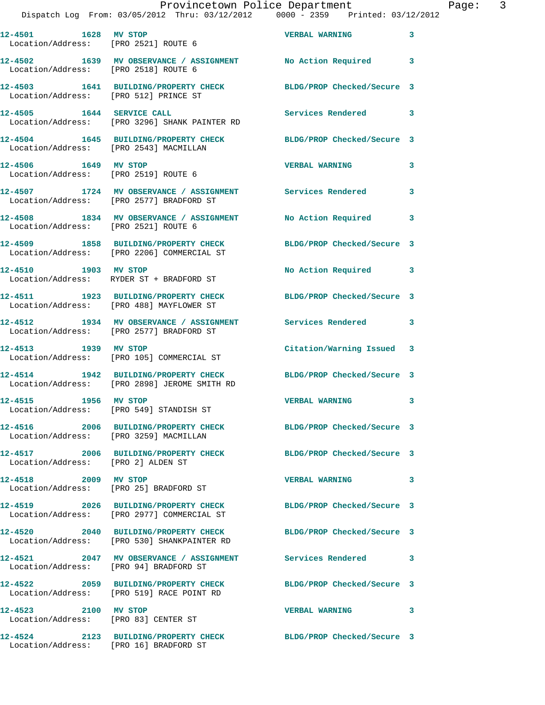|                      | Provincetown Police Department                                                 |                            |   |
|----------------------|--------------------------------------------------------------------------------|----------------------------|---|
|                      | Dispatch Log From: 03/05/2012 Thru: 03/12/2012 0000 - 2359 Printed: 03/12/2012 |                            |   |
|                      |                                                                                |                            |   |
| 12-4501 1628 MV STOP |                                                                                | <b>VERBAL WARNING</b>      | 3 |
|                      | Location/Address: [PRO 2521] ROUTE 6                                           |                            |   |
|                      |                                                                                |                            |   |
|                      | 12-4502 1639 MV OBSERVANCE / ASSIGNMENT                                        | No Action Required         | 3 |
|                      | Location/Address: [PRO 2518] ROUTE 6                                           |                            |   |
|                      | 12-4503 1641 BUILDING/PROPERTY CHECK                                           | BLDG/PROP Checked/Secure 3 |   |
|                      | Location/Address: [PRO 512] PRINCE ST                                          |                            |   |
|                      |                                                                                |                            |   |
|                      |                                                                                | Services Rendered          | 3 |
|                      | Location/Address: [PRO 3296] SHANK PAINTER RD                                  |                            |   |
|                      |                                                                                |                            |   |
|                      | 12-4504 1645 BUILDING/PROPERTY CHECK                                           | BLDG/PROP Checked/Secure 3 |   |
|                      | Location/Address: [PRO 2543] MACMILLAN                                         |                            |   |
|                      |                                                                                |                            |   |

Location/Address: [PRO 2577] BRADFORD ST

Location/Address: [PRO 2519] ROUTE 6

Location/Address: [PRO 2521] ROUTE 6

Location/Address: [PRO 2206] COMMERCIAL ST

Location/Address: RYDER ST + BRADFORD ST

Location/Address: [PRO 488] MAYFLOWER ST

Location/Address: [PRO 2577] BRADFORD ST

**12-4513 1939 MV STOP Citation/Warning Issued 3**  Location/Address: [PRO 105] COMMERCIAL ST

Location/Address: [PRO 2898] JEROME SMITH RD

Location/Address: [PRO 549] STANDISH ST

Location/Address: [PRO 3259] MACMILLAN

Location/Address: [PRO 2] ALDEN ST

Location/Address: [PRO 25] BRADFORD ST

Location/Address: [PRO 2977] COMMERCIAL ST

Location/Address: [PRO 530] SHANKPAINTER RD

Location/Address: [PRO 94] BRADFORD ST

Location/Address: [PRO 519] RACE POINT RD

Location/Address: [PRO 83] CENTER ST

Location/Address: [PRO 16] BRADFORD ST

**12-4506 1649 MV STOP VERBAL WARNING 3** 

**12-4507 1724 MV OBSERVANCE / ASSIGNMENT Services Rendered 3** 

**12-4508 1834 MV OBSERVANCE / ASSIGNMENT No Action Required 3** 

**12-4509 1858 BUILDING/PROPERTY CHECK BLDG/PROP Checked/Secure 3** 

**12-4510 1903 MV STOP No Action Required 3** 

**12-4511 1923 BUILDING/PROPERTY CHECK BLDG/PROP Checked/Secure 3** 

**12-4512 1934 MV OBSERVANCE / ASSIGNMENT Services Rendered 3** 

**12-4514 1942 BUILDING/PROPERTY CHECK BLDG/PROP Checked/Secure 3** 

**12-4515 1956 MV STOP VERBAL WARNING 3** 

**12-4516 2006 BUILDING/PROPERTY CHECK BLDG/PROP Checked/Secure 3** 

**12-4517 2006 BUILDING/PROPERTY CHECK BLDG/PROP Checked/Secure 3** 

**12-4518 2009 MV STOP VERBAL WARNING 3** 

**12-4519 2026 BUILDING/PROPERTY CHECK BLDG/PROP Checked/Secure 3** 

**12-4520 2040 BUILDING/PROPERTY CHECK BLDG/PROP Checked/Secure 3** 

**12-4521 2047 MV OBSERVANCE / ASSIGNMENT Services Rendered 3 12-4522 2059 BUILDING/PROPERTY CHECK BLDG/PROP Checked/Secure 3** 

**12-4523 2100 MV STOP VERBAL WARNING 3** 

**12-4524 2123 BUILDING/PROPERTY CHECK BLDG/PROP Checked/Secure 3**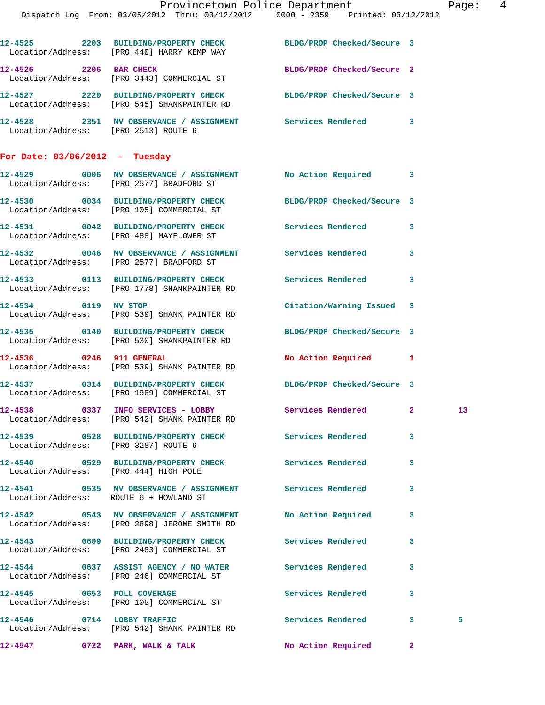|                                        | Dispatch Log From: 03/05/2012 Thru: 03/12/2012 0000 - 2359 Printed: 03/12/2012                                 | Provincetown Police Department |              | Page:  4        |  |
|----------------------------------------|----------------------------------------------------------------------------------------------------------------|--------------------------------|--------------|-----------------|--|
|                                        | 12-4525 2203 BUILDING/PROPERTY CHECK BLDG/PROP Checked/Secure 3<br>Location/Address: [PRO 440] HARRY KEMP WAY  |                                |              |                 |  |
|                                        | 12-4526 2206 BAR CHECK<br>Location/Address: [PRO 3443] COMMERCIAL ST                                           | BLDG/PROP Checked/Secure 2     |              |                 |  |
|                                        | 12-4527 2220 BUILDING/PROPERTY CHECK BLDG/PROP Checked/Secure 3<br>Location/Address: [PRO 545] SHANKPAINTER RD |                                |              |                 |  |
| Location/Address: [PRO 2513] ROUTE 6   | 12-4528 2351 MV OBSERVANCE / ASSIGNMENT Services Rendered 3                                                    |                                |              |                 |  |
| For Date: $03/06/2012$ - Tuesday       |                                                                                                                |                                |              |                 |  |
|                                        | 12-4529 0006 MV OBSERVANCE / ASSIGNMENT No Action Required 3<br>Location/Address: [PRO 2577] BRADFORD ST       |                                |              |                 |  |
|                                        | 12-4530 0034 BUILDING/PROPERTY CHECK BLDG/PROP Checked/Secure 3<br>Location/Address: [PRO 105] COMMERCIAL ST   |                                |              |                 |  |
|                                        | 12-4531 0042 BUILDING/PROPERTY CHECK Services Rendered 3<br>Location/Address: [PRO 488] MAYFLOWER ST           |                                |              |                 |  |
|                                        | 12-4532 0046 MV OBSERVANCE / ASSIGNMENT Services Rendered 3<br>Location/Address: [PRO 2577] BRADFORD ST        |                                |              |                 |  |
|                                        |                                                                                                                | Services Rendered 3            |              |                 |  |
| 12-4534 0119 MV STOP                   | Location/Address: [PRO 539] SHANK PAINTER RD                                                                   | Citation/Warning Issued 3      |              |                 |  |
|                                        | 12-4535 0140 BUILDING/PROPERTY CHECK BLDG/PROP Checked/Secure 3<br>Location/Address: [PRO 530] SHANKPAINTER RD |                                |              |                 |  |
| 12-4536 0246 911 GENERAL               | Location/Address: [PRO 539] SHANK PAINTER RD                                                                   | No Action Required 1           |              |                 |  |
|                                        | 12-4537 0314 BUILDING/PROPERTY CHECK BLDG/PROP Checked/Secure 3<br>Location/Address: [PRO 1989] COMMERCIAL ST  |                                |              |                 |  |
|                                        | 12-4538 0337 INFO SERVICES - LOBBY Services Rendered 2<br>Location/Address: [PRO 542] SHANK PAINTER RD         |                                |              | 13 <sub>1</sub> |  |
| Location/Address: [PRO 3287] ROUTE 6   | 12-4539 0528 BUILDING/PROPERTY CHECK Services Rendered                                                         |                                | 3            |                 |  |
| Location/Address: [PRO 444] HIGH POLE  | 12-4540 0529 BUILDING/PROPERTY CHECK Services Rendered 3                                                       |                                |              |                 |  |
| Location/Address: ROUTE 6 + HOWLAND ST | 12-4541 0535 MV OBSERVANCE / ASSIGNMENT Services Rendered                                                      |                                | 3            |                 |  |
|                                        | 12-4542 0543 MV OBSERVANCE / ASSIGNMENT No Action Required 3<br>Location/Address: [PRO 2898] JEROME SMITH RD   |                                |              |                 |  |
|                                        | 12-4543 0609 BUILDING/PROPERTY CHECK<br>Location/Address: [PRO 2483] COMMERCIAL ST                             | <b>Services Rendered</b>       | 3            |                 |  |
|                                        | 12-4544 0637 ASSIST AGENCY / NO WATER Services Rendered<br>Location/Address: [PRO 246] COMMERCIAL ST           |                                | 3            |                 |  |
|                                        | 12-4545 0653 POLL COVERAGE<br>Location/Address: [PRO 105] COMMERCIAL ST                                        | Services Rendered              | $\mathbf{3}$ |                 |  |
|                                        | 12-4546 0714 LOBBY TRAFFIC<br>Location/Address: [PRO 542] SHANK PAINTER RD                                     | Services Rendered 3            |              | 5               |  |
| 12-4547                                | 0722 PARK, WALK & TALK                                                                                         | No Action Required             | $\mathbf{2}$ |                 |  |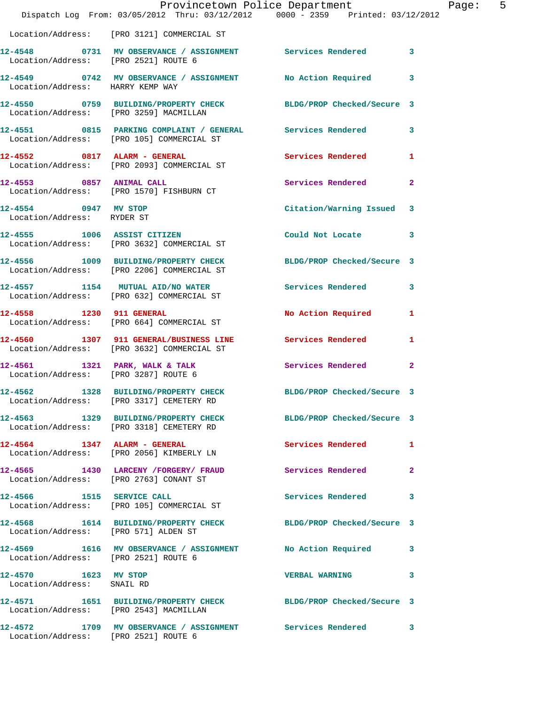|                                                    | Provincetown Police Department<br>Dispatch Log From: 03/05/2012 Thru: 03/12/2012 0000 - 2359 Printed: 03/12/2012 |                            |              |
|----------------------------------------------------|------------------------------------------------------------------------------------------------------------------|----------------------------|--------------|
|                                                    | Location/Address: [PRO 3121] COMMERCIAL ST                                                                       |                            |              |
| Location/Address: [PRO 2521] ROUTE 6               | 12-4548 0731 MV OBSERVANCE / ASSIGNMENT Services Rendered                                                        |                            | 3            |
| Location/Address: HARRY KEMP WAY                   | 12-4549 0742 MV OBSERVANCE / ASSIGNMENT No Action Required                                                       |                            | 3            |
| Location/Address: [PRO 3259] MACMILLAN             | 12-4550 0759 BUILDING/PROPERTY CHECK                                                                             | BLDG/PROP Checked/Secure 3 |              |
|                                                    | 12-4551 0815 PARKING COMPLAINT / GENERAL Services Rendered<br>Location/Address: [PRO 105] COMMERCIAL ST          |                            | 3            |
|                                                    | 12-4552 0817 ALARM - GENERAL<br>Location/Address: [PRO 2093] COMMERCIAL ST                                       | <b>Services Rendered</b>   | 1            |
|                                                    | 12-4553 0857 ANIMAL CALL<br>Location/Address: [PRO 1570] FISHBURN CT                                             | Services Rendered          | $\mathbf{2}$ |
| 12-4554 0947 MV STOP<br>Location/Address: RYDER ST |                                                                                                                  | Citation/Warning Issued    | 3            |
|                                                    | 12-4555 1006 ASSIST CITIZEN<br>Location/Address: [PRO 3632] COMMERCIAL ST                                        | Could Not Locate           | 3            |
|                                                    | 12-4556 1009 BUILDING/PROPERTY CHECK<br>Location/Address: [PRO 2206] COMMERCIAL ST                               | BLDG/PROP Checked/Secure 3 |              |
|                                                    | 12-4557 1154 MUTUAL AID/NO WATER<br>Location/Address: [PRO 632] COMMERCIAL ST                                    | <b>Services Rendered</b>   | 3            |
| 12-4558 1230 911 GENERAL                           | Location/Address: [PRO 664] COMMERCIAL ST                                                                        | No Action Required         | 1            |
|                                                    | 12-4560 1307 911 GENERAL/BUSINESS LINE Services Rendered<br>Location/Address: [PRO 3632] COMMERCIAL ST           |                            | 1            |
|                                                    | $12-4561$ 1321 PARK, WALK & TALK<br>Location/Address: [PRO 3287] ROUTE 6                                         | Services Rendered          | $\mathbf{2}$ |
|                                                    | 12-4562 1328 BUILDING/PROPERTY CHECK BLDG/PROP Checked/Secure 3<br>Location/Address: [PRO 3317] CEMETERY RD      |                            |              |
|                                                    | 12-4563 1329 BUILDING/PROPERTY CHECK BLDG/PROP Checked/Secure 3<br>Location/Address: [PRO 3318] CEMETERY RD      |                            |              |
|                                                    | $12-4564$ 1347 ALARM - GENERAL<br>Location/Address: [PRO 2056] KIMBERLY LN                                       | Services Rendered          | 1            |
| Location/Address: [PRO 2763] CONANT ST             | 12-4565 1430 LARCENY /FORGERY/ FRAUD Services Rendered                                                           |                            | $\mathbf{2}$ |
|                                                    | 12-4566 1515 SERVICE CALL<br>Location/Address: [PRO 105] COMMERCIAL ST                                           | Services Rendered          | 3            |
| Location/Address: [PRO 571] ALDEN ST               | 12-4568 1614 BUILDING/PROPERTY CHECK BLDG/PROP Checked/Secure 3                                                  |                            |              |
| Location/Address: [PRO 2521] ROUTE 6               | 12-4569 1616 MV OBSERVANCE / ASSIGNMENT No Action Required                                                       |                            | 3            |
| 12-4570 1623 MV STOP<br>Location/Address: SNAIL RD |                                                                                                                  | <b>VERBAL WARNING</b>      | 3            |
| Location/Address: [PRO 2543] MACMILLAN             | 12-4571 1651 BUILDING/PROPERTY CHECK BLDG/PROP Checked/Secure 3                                                  |                            |              |
| Location/Address: [PRO 2521] ROUTE 6               | 12-4572 1709 MV OBSERVANCE / ASSIGNMENT Services Rendered                                                        |                            | 3            |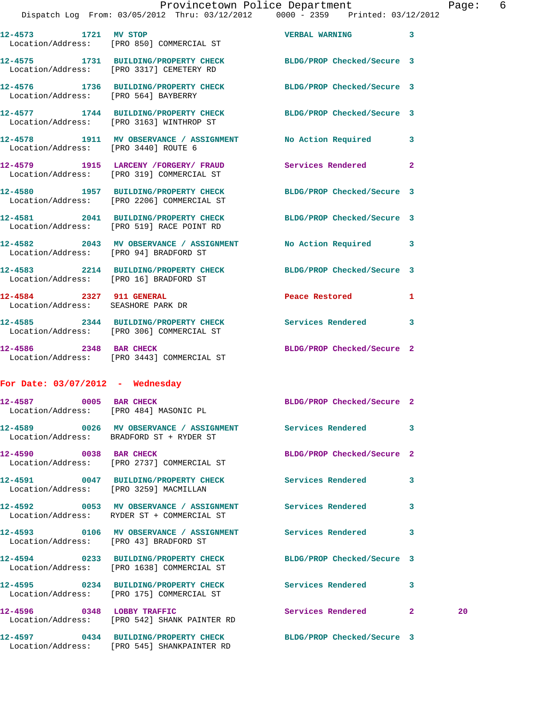|                                    | 21spaccii 10g   rtolli 03/03/2012   1111u 03/12/2012   0000 - 2339   Prificed 03/12/2012                      |                                       |   |    |
|------------------------------------|---------------------------------------------------------------------------------------------------------------|---------------------------------------|---|----|
| 12-4573 1721 MV STOP               | Location/Address: [PRO 850] COMMERCIAL ST                                                                     | VERBAL WARNING 3                      |   |    |
|                                    | 12-4575 1731 BUILDING/PROPERTY CHECK BLDG/PROP Checked/Secure 3<br>Location/Address: [PRO 3317] CEMETERY RD   |                                       |   |    |
|                                    | 12-4576 1736 BUILDING/PROPERTY CHECK BLDG/PROP Checked/Secure 3<br>Location/Address: [PRO 564] BAYBERRY       |                                       |   |    |
|                                    | 12-4577 1744 BUILDING/PROPERTY CHECK BLDG/PROP Checked/Secure 3<br>Location/Address: [PRO 3163] WINTHROP ST   |                                       |   |    |
|                                    | 12-4578 1911 MV OBSERVANCE / ASSIGNMENT No Action Required 3<br>Location/Address: [PRO 3440] ROUTE 6          |                                       |   |    |
|                                    | 12-4579 1915 LARCENY / FORGERY / FRAUD Services Rendered 2<br>Location/Address: [PRO 319] COMMERCIAL ST       |                                       |   |    |
|                                    | 12-4580 1957 BUILDING/PROPERTY CHECK BLDG/PROP Checked/Secure 3<br>Location/Address: [PRO 2206] COMMERCIAL ST |                                       |   |    |
|                                    | 12-4581 2041 BUILDING/PROPERTY CHECK<br>Location/Address: [PRO 519] RACE POINT RD                             | BLDG/PROP Checked/Secure 3            |   |    |
|                                    | 12-4582 2043 MV OBSERVANCE / ASSIGNMENT No Action Required 3<br>Location/Address: [PRO 94] BRADFORD ST        |                                       |   |    |
|                                    | 12-4583 2214 BUILDING/PROPERTY CHECK BLDG/PROP Checked/Secure 3<br>Location/Address: [PRO 16] BRADFORD ST     |                                       |   |    |
| Location/Address: SEASHORE PARK DR | 12-4584 2327 911 GENERAL                                                                                      | Peace Restored and the Peace Restored | 1 |    |
|                                    | 12-4585 2344 BUILDING/PROPERTY CHECK Services Rendered 3<br>Location/Address: [PRO 306] COMMERCIAL ST         |                                       |   |    |
|                                    | 12-4586 2348 BAR CHECK<br>Location/Address: [PRO 3443] COMMERCIAL ST                                          | BLDG/PROP Checked/Secure 2            |   |    |
| For Date: $03/07/2012$ - Wednesday |                                                                                                               |                                       |   |    |
|                                    | 12-4587 0005 BAR CHECK<br>Location/Address: [PRO 484] MASONIC PL                                              | BLDG/PROP Checked/Secure 2            |   |    |
|                                    | 12-4589 0026 MV OBSERVANCE / ASSIGNMENT Services Rendered 3<br>Location/Address: BRADFORD ST + RYDER ST       |                                       |   |    |
| 12-4590 0038 BAR CHECK             | Location/Address: [PRO 2737] COMMERCIAL ST                                                                    | BLDG/PROP Checked/Secure 2            |   |    |
|                                    | 12-4591 0047 BUILDING/PROPERTY CHECK Services Rendered<br>Location/Address: [PRO 3259] MACMILLAN              |                                       | 3 |    |
|                                    | 12-4592 0053 MV OBSERVANCE / ASSIGNMENT Services Rendered<br>Location/Address: RYDER ST + COMMERCIAL ST       |                                       | 3 |    |
|                                    | Location/Address: [PRO 43] BRADFORD ST                                                                        |                                       | 3 |    |
|                                    | 12-4594 0233 BUILDING/PROPERTY CHECK<br>Location/Address: [PRO 1638] COMMERCIAL ST                            | BLDG/PROP Checked/Secure 3            |   |    |
|                                    | 12-4595 0234 BUILDING/PROPERTY CHECK<br>Location/Address: [PRO 175] COMMERCIAL ST                             | Services Rendered 3                   |   |    |
|                                    | 12-4596 0348 LOBBY TRAFFIC<br>Location/Address: [PRO 542] SHANK PAINTER RD                                    | Services Rendered 2                   |   | 20 |
|                                    | 12-4597 0434 BUILDING/PROPERTY CHECK BLDG/PROP Checked/Secure 3                                               |                                       |   |    |

Location/Address: [PRO 545] SHANKPAINTER RD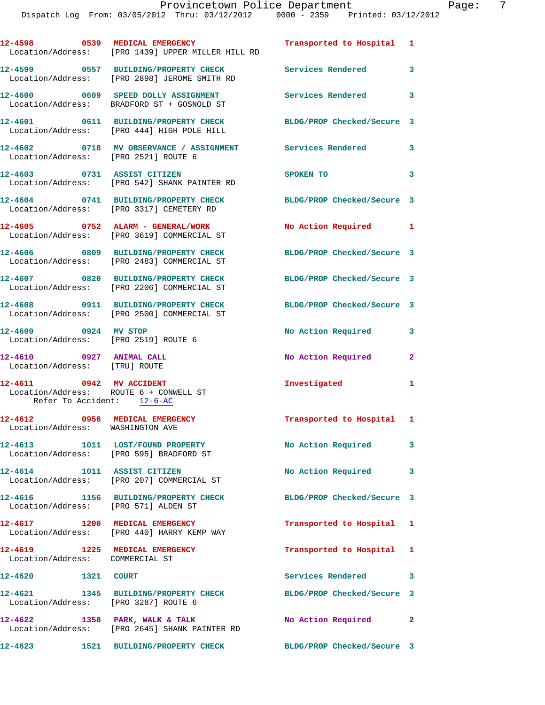|                                                           | 12-4598 0539 MEDICAL EMERGENCY<br>Location/Address: [PRO 1439] UPPER MILLER HILL RD                                              | Transported to Hospital 1  |                            |
|-----------------------------------------------------------|----------------------------------------------------------------------------------------------------------------------------------|----------------------------|----------------------------|
|                                                           | 12-4599 0557 BUILDING/PROPERTY CHECK<br>Location/Address: [PRO 2898] JEROME SMITH RD                                             | <b>Services Rendered</b>   | 3                          |
|                                                           | 12-4600 0609 SPEED DOLLY ASSIGNMENT<br>Location/Address: BRADFORD ST + GOSNOLD ST                                                | <b>Services Rendered</b>   | 3                          |
|                                                           | 12-4601 0611 BUILDING/PROPERTY CHECK<br>Location/Address: [PRO 444] HIGH POLE HILL                                               | BLDG/PROP Checked/Secure 3 |                            |
|                                                           | 12-4602 0718 MV OBSERVANCE / ASSIGNMENT Services Rendered 3<br>Location/Address: [PRO 2521] ROUTE 6                              |                            |                            |
|                                                           | 12-4603 0731 ASSIST CITIZEN<br>Location/Address: [PRO 542] SHANK PAINTER RD                                                      | SPOKEN TO                  | $\overline{\phantom{a}}$ 3 |
|                                                           | 12-4604 0741 BUILDING/PROPERTY CHECK<br>Location/Address: [PRO 3317] CEMETERY RD                                                 | BLDG/PROP Checked/Secure 3 |                            |
|                                                           | 12-4605 0752 ALARM - GENERAL/WORK                                                                                                | No Action Required 1       |                            |
|                                                           | Location/Address: [PRO 3619] COMMERCIAL ST<br>12-4606 0809 BUILDING/PROPERTY CHECK<br>Location/Address: [PRO 2483] COMMERCIAL ST | BLDG/PROP Checked/Secure 3 |                            |
|                                                           | 12-4607 0820 BUILDING/PROPERTY CHECK                                                                                             | BLDG/PROP Checked/Secure 3 |                            |
|                                                           | Location/Address: [PRO 2206] COMMERCIAL ST<br>12-4608 0911 BUILDING/PROPERTY CHECK                                               | BLDG/PROP Checked/Secure 3 |                            |
| 12-4609 0924 MV STOP                                      | Location/Address: [PRO 2500] COMMERCIAL ST                                                                                       | No Action Required         | 3                          |
|                                                           | Location/Address: [PRO 2519] ROUTE 6                                                                                             |                            |                            |
| 12-4610 0927 ANIMAL CALL<br>Location/Address: [TRU] ROUTE |                                                                                                                                  | No Action Required         | $\mathbf{2}$               |
| 12-4611 0942 MV ACCIDENT<br>Refer To Accident: 12-6-AC    | Location/Address: ROUTE 6 + CONWELL ST                                                                                           | Investigated               | 1                          |
| 12-4612                                                   | 0956 MEDICAL EMERGENCY<br>Location/Address: WASHINGTON AVE                                                                       | Transported to Hospital 1  |                            |
|                                                           | 12-4613 1011 LOST/FOUND PROPERTY<br>Location/Address: [PRO 595] BRADFORD ST                                                      | No Action Required 3       |                            |
|                                                           | 12-4614 1011 ASSIST CITIZEN<br>Location/Address: [PRO 207] COMMERCIAL ST                                                         | No Action Required         | 3                          |
|                                                           | 12-4616 1156 BUILDING/PROPERTY CHECK<br>Location/Address: [PRO 571] ALDEN ST                                                     | BLDG/PROP Checked/Secure 3 |                            |
|                                                           | 12-4617 1200 MEDICAL EMERGENCY<br>Location/Address: [PRO 440] HARRY KEMP WAY                                                     | Transported to Hospital 1  |                            |
| Location/Address: COMMERCIAL ST                           | 12-4619 1225 MEDICAL EMERGENCY                                                                                                   | Transported to Hospital 1  |                            |
| 12-4620 1321 COURT                                        |                                                                                                                                  | Services Rendered 3        |                            |
|                                                           | 12-4621 1345 BUILDING/PROPERTY CHECK<br>Location/Address: [PRO 3287] ROUTE 6                                                     | BLDG/PROP Checked/Secure 3 |                            |
|                                                           | 12-4622 1358 PARK, WALK & TALK<br>Location/Address: [PRO 2645] SHANK PAINTER RD                                                  | No Action Required         | $\mathbf{2}$               |
|                                                           | 12-4623 1521 BUILDING/PROPERTY CHECK                                                                                             | BLDG/PROP Checked/Secure 3 |                            |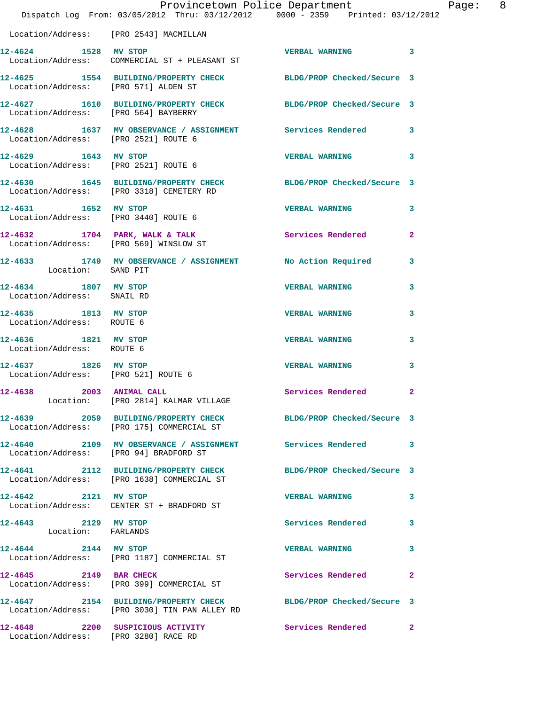|                                                             | Dispatch Log From: 03/05/2012 Thru: 03/12/2012 0000 - 2359 Printed: 03/12/2012                                   | Provincetown Police Department | Page: 8                 |
|-------------------------------------------------------------|------------------------------------------------------------------------------------------------------------------|--------------------------------|-------------------------|
| Location/Address: [PRO 2543] MACMILLAN                      |                                                                                                                  |                                |                         |
| 12-4624 1528 MV STOP                                        | Example of the STOP WERBAL WARNING<br>Location/Address: COMMERCIAL ST + PLEASANT ST                              |                                |                         |
| Location/Address: [PRO 571] ALDEN ST                        | 12-4625 1554 BUILDING/PROPERTY CHECK BLDG/PROP Checked/Secure 3                                                  |                                |                         |
| Location/Address: [PRO 564] BAYBERRY                        | 12-4627 1610 BUILDING/PROPERTY CHECK BLDG/PROP Checked/Secure 3                                                  |                                |                         |
| Location/Address: [PRO 2521] ROUTE 6                        | 12-4628 1637 MV OBSERVANCE / ASSIGNMENT Services Rendered 3                                                      |                                |                         |
| 12-4629 1643 MV STOP                                        | Location/Address: [PRO 2521] ROUTE 6                                                                             | VERBAL WARNING 3               |                         |
|                                                             | 12-4630 1645 BUILDING/PROPERTY CHECK BLDG/PROP Checked/Secure 3<br>Location/Address: [PRO 3318] CEMETERY RD      |                                |                         |
| 12-4631 1652 MV STOP                                        | Location/Address: [PRO 3440] ROUTE 6                                                                             | <b>VERBAL WARNING</b>          | 3                       |
|                                                             | $12-4632$ 1704 PARK, WALK & TALK<br>Location/Address: [PRO 569] WINSLOW ST                                       | Services Rendered              | $\mathbf{2}$            |
| Location: SAND PIT                                          | 12-4633 1749 MV OBSERVANCE / ASSIGNMENT No Action Required                                                       |                                | $\overline{\mathbf{3}}$ |
| 12-4634 1807 MV STOP<br>Location/Address: SNAIL RD          |                                                                                                                  | <b>VERBAL WARNING</b>          | 3                       |
| 12-4635 1813 MV STOP<br>Location/Address: ROUTE 6           |                                                                                                                  | <b>VERBAL WARNING</b>          | 3                       |
| 12-4636 1821 MV STOP<br>Location/Address: ROUTE 6           |                                                                                                                  | <b>VERBAL WARNING</b>          | 3                       |
| 12-4637 1826 MV STOP<br>Location/Address: [PRO 521] ROUTE 6 |                                                                                                                  | <b>VERBAL WARNING</b>          | 3                       |
| 12-4638 2003 ANIMAL CALL                                    | Location: [PRO 2814] KALMAR VILLAGE                                                                              | Services Rendered 2            |                         |
|                                                             | 12-4639 2059 BUILDING/PROPERTY CHECK BLDG/PROP Checked/Secure 3<br>Location/Address: [PRO 175] COMMERCIAL ST     |                                |                         |
|                                                             | 12-4640 2109 MV OBSERVANCE / ASSIGNMENT Services Rendered 3<br>  Location/Address: [PRO 94] BRADFORD ST          |                                |                         |
|                                                             | 12-4641 2112 BUILDING/PROPERTY CHECK BLDG/PROP Checked/Secure 3<br>Location/Address: [PRO 1638] COMMERCIAL ST    |                                |                         |
| 12-4642 2121 MV STOP                                        | Location/Address: CENTER ST + BRADFORD ST                                                                        | <b>VERBAL WARNING</b>          | 3                       |
| 12-4643 2129 MV STOP<br>Location: FARLANDS                  |                                                                                                                  | Services Rendered              | 3                       |
| 12-4644 2144 MV STOP                                        | Location/Address: [PRO 1187] COMMERCIAL ST                                                                       | <b>VERBAL WARNING</b>          | 3                       |
|                                                             | 12-4645 2149 BAR CHECK<br>Location/Address: [PRO 399] COMMERCIAL ST                                              | Services Rendered              | $\mathbf{2}$            |
|                                                             | 12-4647 2154 BUILDING/PROPERTY CHECK BLDG/PROP Checked/Secure 3<br>Location/Address: [PRO 3030] TIN PAN ALLEY RD |                                |                         |
| Location/Address: [PRO 3280] RACE RD                        | 12-4648 2200 SUSPICIOUS ACTIVITY                                                                                 | Services Rendered              | $\mathbf{2}$            |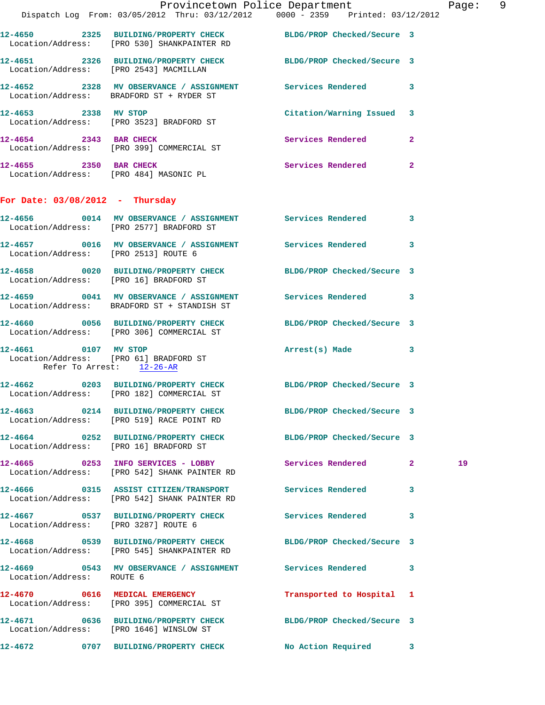|                                      | Dispatch Log From: 03/05/2012 Thru: 03/12/2012   0000 - 2359   Printed: 03/12/2012                             | Provincetown Police Department |              | Page: 9 |
|--------------------------------------|----------------------------------------------------------------------------------------------------------------|--------------------------------|--------------|---------|
|                                      | 12-4650 2325 BUILDING/PROPERTY CHECK BLDG/PROP Checked/Secure 3<br>Location/Address: [PRO 530] SHANKPAINTER RD |                                |              |         |
|                                      | 12-4651 2326 BUILDING/PROPERTY CHECK BLDG/PROP Checked/Secure 3<br>Location/Address: [PRO 2543] MACMILLAN      |                                |              |         |
|                                      | 12-4652 2328 MV OBSERVANCE / ASSIGNMENT Services Rendered 3<br>Location/Address: BRADFORD ST + RYDER ST        |                                |              |         |
| 12-4653 2338 MV STOP                 | Location/Address: [PRO 3523] BRADFORD ST                                                                       | Citation/Warning Issued 3      |              |         |
|                                      | 12-4654 2343 BAR CHECK<br>Location/Address: [PRO 399] COMMERCIAL ST                                            | Services Rendered 2            |              |         |
|                                      | 12-4655 2350 BAR CHECK<br>Location/Address: [PRO 484] MASONIC PL                                               | Services Rendered 2            |              |         |
| For Date: $03/08/2012$ - Thursday    |                                                                                                                |                                |              |         |
|                                      | 12-4656 0014 MV OBSERVANCE / ASSIGNMENT Services Rendered 3<br>Location/Address: [PRO 2577] BRADFORD ST        |                                |              |         |
|                                      | 12-4657 0016 MV OBSERVANCE / ASSIGNMENT Services Rendered 3<br>Location/Address: [PRO 2513] ROUTE 6            |                                |              |         |
|                                      | 12-4658 0020 BUILDING/PROPERTY CHECK BLDG/PROP Checked/Secure 3<br>Location/Address: [PRO 16] BRADFORD ST      |                                |              |         |
|                                      | 12-4659 0041 MV OBSERVANCE / ASSIGNMENT Services Rendered 3<br>Location/Address: BRADFORD ST + STANDISH ST     |                                |              |         |
|                                      | 12-4660 0056 BUILDING/PROPERTY CHECK<br>Location/Address: [PRO 306] COMMERCIAL ST                              | BLDG/PROP Checked/Secure 3     |              |         |
| Refer To Arrest: 12-26-AR            | 12-4661 0107 MV STOP<br>Location/Address: [PRO 61] BRADFORD ST                                                 | Arrest(s) Made 3               |              |         |
|                                      | 12-4662 0203 BUILDING/PROPERTY CHECK BLDG/PROP Checked/Secure 3<br>Location/Address: [PRO 182] COMMERCIAL ST   |                                |              |         |
|                                      | 12-4663 0214 BUILDING/PROPERTY CHECK<br>Location/Address: [PRO 519] RACE POINT RD                              | BLDG/PROP Checked/Secure 3     |              |         |
|                                      | 12-4664 0252 BUILDING/PROPERTY CHECK BLDG/PROP Checked/Secure 3<br>Location/Address: [PRO 16] BRADFORD ST      |                                |              |         |
|                                      | 12-4665 0253 INFO SERVICES - LOBBY<br>Location/Address: [PRO 542] SHANK PAINTER RD                             | Services Rendered 2            |              | 19      |
|                                      | 12-4666 0315 ASSIST CITIZEN/TRANSPORT<br>Location/Address: [PRO 542] SHANK PAINTER RD                          | Services Rendered              | 3            |         |
| Location/Address: [PRO 3287] ROUTE 6 | 12-4667 		 0537 BUILDING/PROPERTY CHECK Services Rendered                                                      |                                | 3            |         |
|                                      | 12-4668 0539 BUILDING/PROPERTY CHECK<br>Location/Address: [PRO 545] SHANKPAINTER RD                            | BLDG/PROP Checked/Secure 3     |              |         |
| Location/Address: ROUTE 6            | 12-4669 0543 MV OBSERVANCE / ASSIGNMENT Services Rendered 3                                                    |                                |              |         |
|                                      | 12-4670 0616 MEDICAL EMERGENCY<br>Location/Address: [PRO 395] COMMERCIAL ST                                    | Transported to Hospital 1      |              |         |
|                                      | 12-4671 0636 BUILDING/PROPERTY CHECK<br>Location/Address: [PRO 1646] WINSLOW ST                                | BLDG/PROP Checked/Secure 3     |              |         |
| 12-4672                              | 0707 BUILDING/PROPERTY CHECK                                                                                   | No Action Required             | $\mathbf{3}$ |         |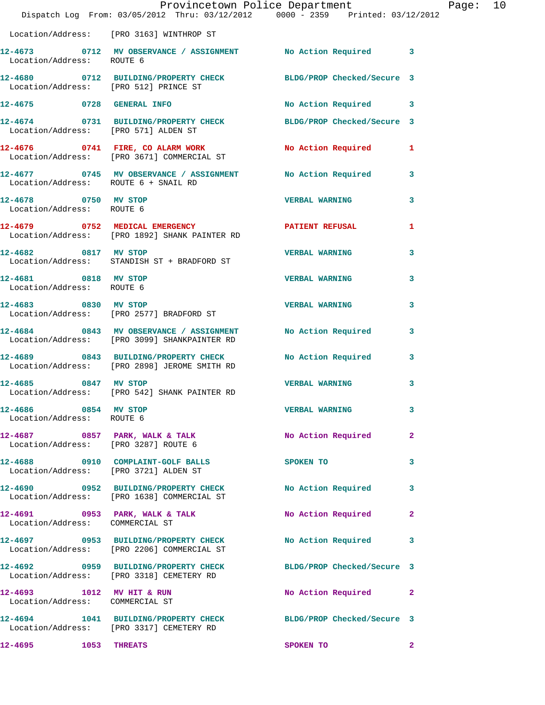|                                                              | Dispatch Log From: 03/05/2012 Thru: 03/12/2012 0000 - 2359 Printed: 03/12/2012                               | Provincetown Police Department Page: 10 |                         |  |
|--------------------------------------------------------------|--------------------------------------------------------------------------------------------------------------|-----------------------------------------|-------------------------|--|
|                                                              | Location/Address: [PRO 3163] WINTHROP ST                                                                     |                                         |                         |  |
| Location/Address: ROUTE 6                                    | 12-4673 0712 MV OBSERVANCE / ASSIGNMENT No Action Required 3                                                 |                                         |                         |  |
|                                                              | 12-4680 0712 BUILDING/PROPERTY CHECK BLDG/PROP Checked/Secure 3<br>Location/Address: [PRO 512] PRINCE ST     |                                         |                         |  |
|                                                              | 12-4675 0728 GENERAL INFO                                                                                    | No Action Required 3                    |                         |  |
|                                                              | 12-4674 0731 BUILDING/PROPERTY CHECK BLDG/PROP Checked/Secure 3<br>Location/Address: [PRO 571] ALDEN ST      |                                         |                         |  |
|                                                              | 12-4676 0741 FIRE, CO ALARM WORK No Action Required 1<br>Location/Address: [PRO 3671] COMMERCIAL ST          |                                         |                         |  |
|                                                              | 12-4677 0745 MV OBSERVANCE / ASSIGNMENT No Action Required 3<br>Location/Address: ROUTE 6 + SNAIL RD         |                                         |                         |  |
| 12-4678 0750 MV STOP<br>Location/Address: ROUTE 6            |                                                                                                              | <b>VERBAL WARNING</b>                   | 3                       |  |
|                                                              | 12-4679 0752 MEDICAL EMERGENCY PATIENT REFUSAL<br>Location/Address: [PRO 1892] SHANK PAINTER RD              |                                         | 1                       |  |
| 12-4682 0817 MV STOP                                         | Location/Address: STANDISH ST + BRADFORD ST                                                                  | <b>VERBAL WARNING</b>                   | 3                       |  |
| 12-4681 0818 MV STOP<br>Location/Address: ROUTE 6            |                                                                                                              | <b>VERBAL WARNING</b>                   | 3                       |  |
|                                                              | $12-4683$ 0830 MV STOP<br>Location/Address: [PRO 2577] BRADFORD ST                                           | <b>VERBAL WARNING</b>                   | 3                       |  |
|                                                              | 12-4684 0843 MV OBSERVANCE / ASSIGNMENT No Action Required 3<br>Location/Address: [PRO 3099] SHANKPAINTER RD |                                         |                         |  |
|                                                              | 12-4689 0843 BUILDING/PROPERTY CHECK No Action Required<br>Location/Address: [PRO 2898] JEROME SMITH RD      |                                         | $\mathbf{3}$            |  |
|                                                              | 12-4685 0847 MV STOP<br>Location/Address: [PRO 542] SHANK PAINTER RD                                         | <b>VERBAL WARNING</b>                   | 3                       |  |
| 12-4686 0854 MV STOP<br>Location/Address: ROUTE 6            |                                                                                                              | <b>VERBAL WARNING</b>                   | $\overline{\mathbf{3}}$ |  |
| Location/Address: [PRO 3287] ROUTE 6                         | 12-4687 0857 PARK, WALK & TALK                                                                               | No Action Required                      | $\mathbf{2}$            |  |
|                                                              | 12-4688 0910 COMPLAINT-GOLF BALLS<br>Location/Address: [PRO 3721] ALDEN ST                                   | SPOKEN TO                               | 3                       |  |
|                                                              | 12-4690 0952 BUILDING/PROPERTY CHECK<br>Location/Address: [PRO 1638] COMMERCIAL ST                           | No Action Required                      | 3                       |  |
| Location/Address: COMMERCIAL ST                              | 12-4691 0953 PARK, WALK & TALK NO Action Required                                                            |                                         | -2                      |  |
|                                                              |                                                                                                              | No Action Required 3                    |                         |  |
|                                                              | 12-4692 0959 BUILDING/PROPERTY CHECK BLDG/PROP Checked/Secure 3<br>Location/Address: [PRO 3318] CEMETERY RD  |                                         |                         |  |
| 12-4693 1012 MV HIT & RUN<br>Location/Address: COMMERCIAL ST |                                                                                                              | No Action Required 2                    |                         |  |
|                                                              | 12-4694 1041 BUILDING/PROPERTY CHECK BLDG/PROP Checked/Secure 3<br>Location/Address: [PRO 3317] CEMETERY RD  |                                         |                         |  |
| 12-4695                                                      | <b>1053 THREATS</b>                                                                                          | SPOKEN TO                               | $\mathbf{2}$            |  |
|                                                              |                                                                                                              |                                         |                         |  |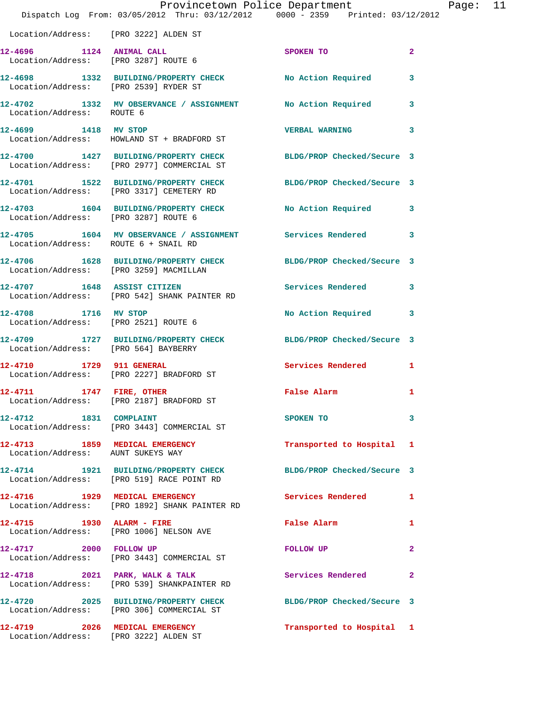|                                       | Provincetown Police Department The Rage: 11<br>Dispatch Log From: 03/05/2012 Thru: 03/12/2012 0000 - 2359 Printed: 03/12/2012 |                               |              |
|---------------------------------------|-------------------------------------------------------------------------------------------------------------------------------|-------------------------------|--------------|
| Location/Address: [PRO 3222] ALDEN ST |                                                                                                                               |                               |              |
|                                       | 12-4696 1124 ANIMAL CALL<br>Location/Address: [PRO 3287] ROUTE 6                                                              | SPOKEN TO                     | $\mathbf{2}$ |
|                                       | 12-4698 1332 BUILDING/PROPERTY CHECK No Action Required 3<br>Location/Address: [PRO 2539] RYDER ST                            |                               |              |
| Location/Address: ROUTE 6             | 12-4702 1332 MV OBSERVANCE / ASSIGNMENT No Action Required 3                                                                  |                               |              |
| 12-4699 1418 MV STOP                  | Location/Address: HOWLAND ST + BRADFORD ST                                                                                    | <b>VERBAL WARNING 3</b>       |              |
|                                       | 12-4700 1427 BUILDING/PROPERTY CHECK BLDG/PROP Checked/Secure 3<br>Location/Address: [PRO 2977] COMMERCIAL ST                 |                               |              |
|                                       | 12-4701 1522 BUILDING/PROPERTY CHECK BLDG/PROP Checked/Secure 3<br>Location/Address: [PRO 3317] CEMETERY RD                   |                               |              |
| Location/Address: [PRO 3287] ROUTE 6  | 12-4703 1604 BUILDING/PROPERTY CHECK No Action Required 3                                                                     |                               |              |
| Location/Address: ROUTE 6 + SNAIL RD  | 12-4705 1604 MV OBSERVANCE / ASSIGNMENT Services Rendered 3                                                                   |                               |              |
|                                       | 12-4706 1628 BUILDING/PROPERTY CHECK BLDG/PROP Checked/Secure 3<br>Location/Address: [PRO 3259] MACMILLAN                     |                               |              |
|                                       | 12-4707 1648 ASSIST CITIZEN<br>Location/Address: [PRO 542] SHANK PAINTER RD                                                   | Services Rendered 3           |              |
|                                       | 12-4708 1716 MV STOP<br>Location/Address: [PRO 2521] ROUTE 6                                                                  | No Action Required 3          |              |
| Location/Address: [PRO 564] BAYBERRY  | 12-4709 1727 BUILDING/PROPERTY CHECK BLDG/PROP Checked/Secure 3                                                               |                               |              |
|                                       | 12-4710 1729 911 GENERAL<br>Location/Address: [PRO 2227] BRADFORD ST                                                          | Services Rendered 1           |              |
|                                       | 12-4711 1747 FIRE, OTHER<br>Location/Address: [PRO 2187] BRADFORD ST                                                          | False Alarm <b>Execute 19</b> | $\mathbf{1}$ |
|                                       | 12-4712 1831 COMPLAINT<br>Location/Address: [PRO 3443] COMMERCIAL ST                                                          | SPOKEN TO                     | 3            |
| Location/Address: AUNT SUKEYS WAY     | 12-4713 1859 MEDICAL EMERGENCY                                                                                                | Transported to Hospital 1     |              |
|                                       | 12-4714 1921 BUILDING/PROPERTY CHECK<br>Location/Address: [PRO 519] RACE POINT RD                                             | BLDG/PROP Checked/Secure 3    |              |
|                                       | 12-4716 1929 MEDICAL EMERGENCY<br>Location/Address: [PRO 1892] SHANK PAINTER RD                                               | Services Rendered 1           |              |
|                                       | 12-4715 1930 ALARM - FIRE<br>Location/Address: [PRO 1006] NELSON AVE                                                          | False Alarm                   | 1            |
| 12-4717 2000 FOLLOW UP                | Location/Address: [PRO 3443] COMMERCIAL ST                                                                                    | FOLLOW UP                     | $\mathbf{2}$ |
|                                       | 12-4718 2021 PARK, WALK & TALK<br>Location/Address: [PRO 539] SHANKPAINTER RD                                                 | Services Rendered             | $\mathbf{2}$ |
|                                       | 12-4720 2025 BUILDING/PROPERTY CHECK BLDG/PROP Checked/Secure 3<br>Location/Address: [PRO 306] COMMERCIAL ST                  |                               |              |
| 12-4719 2026 MEDICAL EMERGENCY        | Location/Address: [PRO 3222] ALDEN ST                                                                                         | Transported to Hospital 1     |              |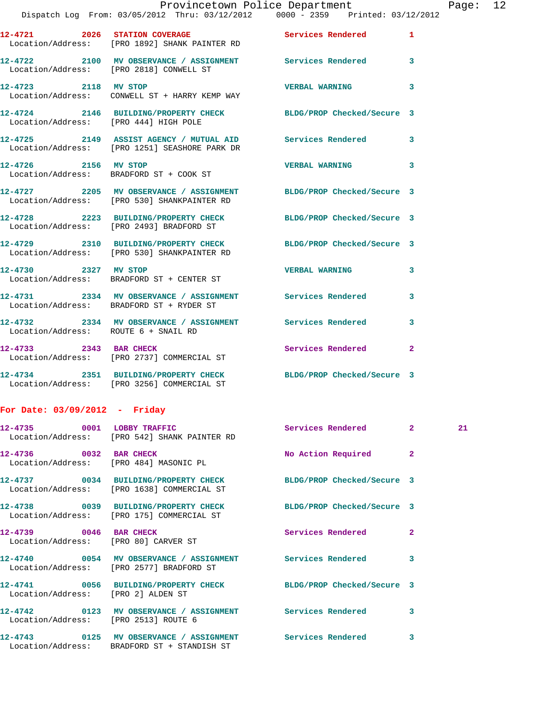|                                       | 12-4721 2026 STATION COVERAGE<br>Location/Address: [PRO 1892] SHANK PAINTER RD                                    | <b>Services Rendered</b>   | 1 |
|---------------------------------------|-------------------------------------------------------------------------------------------------------------------|----------------------------|---|
|                                       | 12-4722 2100 MV OBSERVANCE / ASSIGNMENT Services Rendered<br>Location/Address: [PRO 2818] CONWELL ST              |                            | 3 |
| 12-4723 2118 MV STOP                  | Location/Address: CONWELL ST + HARRY KEMP WAY                                                                     | <b>VERBAL WARNING</b>      | 3 |
| Location/Address: [PRO 444] HIGH POLE | 12-4724 2146 BUILDING/PROPERTY CHECK                                                                              | BLDG/PROP Checked/Secure 3 |   |
|                                       | 12-4725 2149 ASSIST AGENCY / MUTUAL AID<br>Location/Address: [PRO 1251] SEASHORE PARK DR                          | <b>Services Rendered</b>   | 3 |
| 12-4726 2156 MV STOP                  | Location/Address: BRADFORD ST + COOK ST                                                                           | <b>VERBAL WARNING</b>      | 3 |
|                                       | 12-4727 2205 MV OBSERVANCE / ASSIGNMENT BLDG/PROP Checked/Secure 3<br>Location/Address: [PRO 530] SHANKPAINTER RD |                            |   |
|                                       | 12-4728 2223 BUILDING/PROPERTY CHECK<br>Location/Address: [PRO 2493] BRADFORD ST                                  | BLDG/PROP Checked/Secure 3 |   |
|                                       | 12-4729 2310 BUILDING/PROPERTY CHECK<br>Location/Address: [PRO 530] SHANKPAINTER RD                               | BLDG/PROP Checked/Secure 3 |   |
| 12-4730 2327 MV STOP                  | Location/Address: BRADFORD ST + CENTER ST                                                                         | <b>VERBAL WARNING</b>      | 3 |
|                                       | 12-4731 2334 MV OBSERVANCE / ASSIGNMENT Services Rendered<br>Location/Address: BRADFORD ST + RYDER ST             |                            | 3 |
| Location/Address: ROUTE 6 + SNAIL RD  | 12-4732 2334 MV OBSERVANCE / ASSIGNMENT Services Rendered                                                         |                            | 3 |
| 12-4733 2343 BAR CHECK                | Location/Address: [PRO 2737] COMMERCIAL ST                                                                        | Services Rendered          | 2 |
|                                       | 12-4734 2351 BUILDING/PROPERTY CHECK<br>Location/Address: [PRO 3256] COMMERCIAL ST                                | BLDG/PROP Checked/Secure 3 |   |

## **For Date: 03/09/2012 - Friday**

|                                        | 12-4735 0001 LOBBY TRAFFIC<br>Location/Address: [PRO 542] SHANK PAINTER RD                                            | Services Rendered 2  |                         | 21 |
|----------------------------------------|-----------------------------------------------------------------------------------------------------------------------|----------------------|-------------------------|----|
| Location/Address: [PRO 484] MASONIC PL | 12-4736 0032 BAR CHECK                                                                                                | No Action Required 2 |                         |    |
|                                        | 12-4737 0034 BUILDING/PROPERTY CHECK BLDG/PROP Checked/Secure 3<br>Location/Address: [PRO 1638] COMMERCIAL ST         |                      |                         |    |
|                                        | 12-4738 0039 BUILDING/PROPERTY CHECK BLDG/PROP Checked/Secure 3<br>Location/Address: [PRO 175] COMMERCIAL ST          |                      |                         |    |
| Location/Address: [PRO 80] CARVER ST   |                                                                                                                       |                      | $\overline{2}$          |    |
|                                        | Location/Address: [PRO 2577] BRADFORD ST                                                                              |                      | $\overline{3}$          |    |
| Location/Address: [PRO 2] ALDEN ST     | 12-4741 0056 BUILDING/PROPERTY CHECK BLDG/PROP Checked/Secure 3                                                       |                      |                         |    |
| Location/Address: [PRO 2513] ROUTE 6   | 12-4742  0123 MV OBSERVANCE / ASSIGNMENT Services Rendered                                                            |                      | 3                       |    |
|                                        | 12-4743       0125   MV OBSERVANCE / ASSIGNMENT      Services Rendered<br>Location/Address: BRADFORD ST + STANDISH ST |                      | $\overline{\mathbf{3}}$ |    |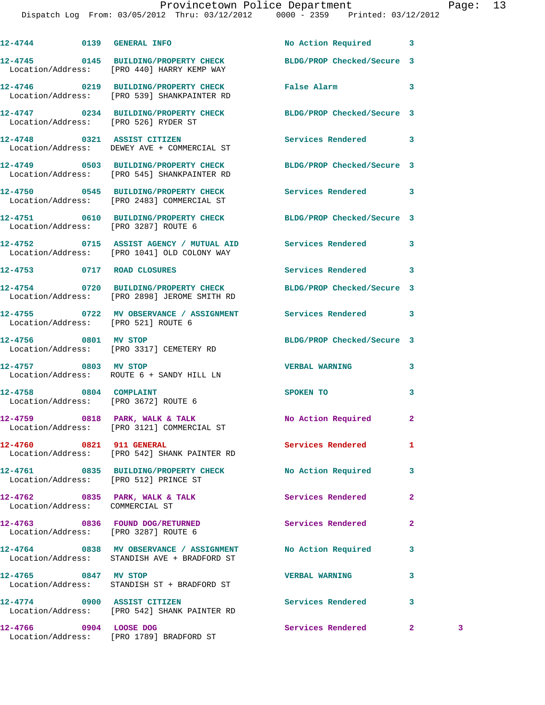## Provincetown Police Department Page: 13

Dispatch Log From: 03/05/2012 Thru: 03/12/2012 0000 - 2359 Printed: 03/12/2012

|                                 | 12-4744 0139 GENERAL INFO                                                                                       | No Action Required 3       |                |   |
|---------------------------------|-----------------------------------------------------------------------------------------------------------------|----------------------------|----------------|---|
|                                 | 12-4745 0145 BUILDING/PROPERTY CHECK BLDG/PROP Checked/Secure 3<br>Location/Address: [PRO 440] HARRY KEMP WAY   |                            |                |   |
|                                 | 12-4746 0219 BUILDING/PROPERTY CHECK False Alarm<br>Location/Address: [PRO 539] SHANKPAINTER RD                 |                            | 3              |   |
|                                 | 12-4747 0234 BUILDING/PROPERTY CHECK BLDG/PROP Checked/Secure 3<br>Location/Address: [PRO 526] RYDER ST         |                            |                |   |
|                                 | 12-4748 0321 ASSIST CITIZEN<br>Location/Address: DEWEY AVE + COMMERCIAL ST                                      | Services Rendered          | 3              |   |
|                                 | 12-4749 0503 BUILDING/PROPERTY CHECK BLDG/PROP Checked/Secure 3<br>Location/Address: [PRO 545] SHANKPAINTER RD  |                            |                |   |
|                                 | 12-4750 0545 BUILDING/PROPERTY CHECK Services Rendered<br>Location/Address: [PRO 2483] COMMERCIAL ST            |                            | 3              |   |
|                                 | 12-4751 0610 BUILDING/PROPERTY CHECK BLDG/PROP Checked/Secure 3<br>Location/Address: [PRO 3287] ROUTE 6         |                            |                |   |
|                                 | 12-4752 0715 ASSIST AGENCY / MUTUAL AID Services Rendered<br>Location/Address: [PRO 1041] OLD COLONY WAY        |                            | 3              |   |
|                                 | 12-4753 0717 ROAD CLOSURES                                                                                      | Services Rendered          | 3              |   |
|                                 | 12-4754 0720 BUILDING/PROPERTY CHECK BLDG/PROP Checked/Secure 3<br>Location/Address: [PRO 2898] JEROME SMITH RD |                            |                |   |
|                                 | 12-4755 0722 MV OBSERVANCE / ASSIGNMENT Services Rendered 3<br>Location/Address: [PRO 521] ROUTE 6              |                            |                |   |
|                                 | 12-4756 0801 MV STOP<br>Location/Address: [PRO 3317] CEMETERY RD                                                | BLDG/PROP Checked/Secure 3 |                |   |
| 12-4757 0803 MV STOP            | Location/Address: ROUTE 6 + SANDY HILL LN                                                                       | <b>VERBAL WARNING</b>      | 3              |   |
|                                 | 12-4758 0804 COMPLAINT<br>Location/Address: [PRO 3672] ROUTE 6                                                  | SPOKEN TO                  | 3              |   |
|                                 | $12-4759$ 0818 PARK, WALK & TALK<br>Location/Address: [PRO 3121] COMMERCIAL ST                                  | No Action Required 2       |                |   |
| 12-4760 0821 911 GENERAL        | Location/Address: [PRO 542] SHANK PAINTER RD                                                                    | Services Rendered          | 1              |   |
|                                 | 12-4761 0835 BUILDING/PROPERTY CHECK<br>Location/Address: [PRO 512] PRINCE ST                                   | No Action Required         | 3              |   |
| Location/Address: COMMERCIAL ST | 12-4762 0835 PARK, WALK & TALK                                                                                  | Services Rendered          | $\mathbf{2}$   |   |
|                                 | 12-4763 0836 FOUND DOG/RETURNED<br>Location/Address: [PRO 3287] ROUTE 6                                         | Services Rendered          | $\overline{a}$ |   |
|                                 | 12-4764 0838 MV OBSERVANCE / ASSIGNMENT No Action Required<br>Location/Address: STANDISH AVE + BRADFORD ST      |                            | 3              |   |
| 12-4765 0847 MV STOP            | Location/Address: STANDISH ST + BRADFORD ST                                                                     | <b>VERBAL WARNING</b>      | 3              |   |
|                                 | 12-4774 0900 ASSIST CITIZEN<br>Location/Address: [PRO 542] SHANK PAINTER RD                                     | Services Rendered          | 3              |   |
| 12-4766 0904 LOOSE DOG          | Location/Address: [PRO 1789] BRADFORD ST                                                                        | Services Rendered          | $\mathbf{2}$   | 3 |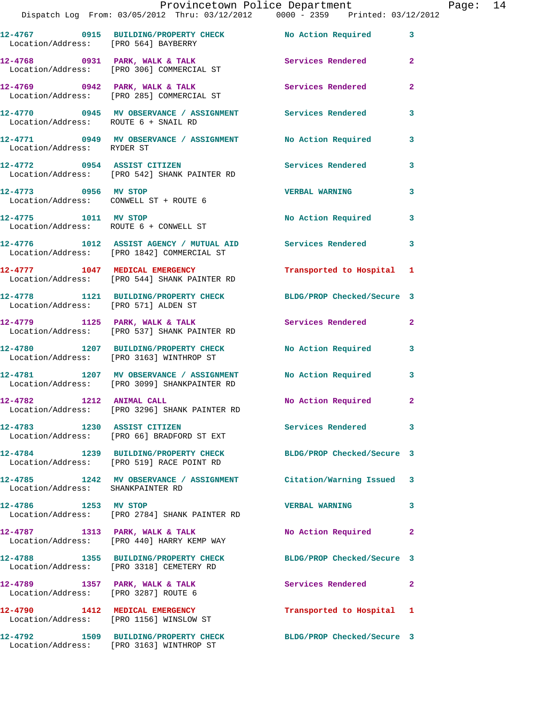|                                                                        | Provincetown Police Department                                                                          |                            |              |
|------------------------------------------------------------------------|---------------------------------------------------------------------------------------------------------|----------------------------|--------------|
|                                                                        | Dispatch Log From: 03/05/2012 Thru: 03/12/2012 0000 - 2359 Printed: 03/12/2012                          |                            |              |
|                                                                        |                                                                                                         |                            | 3            |
|                                                                        | 12-4768 0931 PARK, WALK & TALK 3 Services Rendered<br>Location/Address: [PRO 306] COMMERCIAL ST         |                            | $\mathbf{2}$ |
|                                                                        |                                                                                                         | <b>Services Rendered</b>   | $\mathbf{2}$ |
| Location/Address: ROUTE 6 + SNAIL RD                                   | 12-4770 0945 MV OBSERVANCE / ASSIGNMENT Services Rendered                                               |                            | 3            |
| Location/Address: RYDER ST                                             | 12-4771 0949 MV OBSERVANCE / ASSIGNMENT No Action Required                                              |                            | 3            |
|                                                                        | 12-4772 0954 ASSIST CITIZEN<br>Location/Address: [PRO 542] SHANK PAINTER RD                             | <b>Services Rendered</b>   | 3            |
| 12-4773 0956 MV STOP                                                   | Location/Address: CONWELL ST + ROUTE 6                                                                  | <b>VERBAL WARNING</b>      | 3            |
|                                                                        | 12-4775 1011 MV STOP<br>Location/Address: ROUTE 6 + CONWELL ST                                          | <b>No Action Required</b>  | 3            |
|                                                                        | 12-4776 1012 ASSIST AGENCY / MUTUAL AID Services Rendered<br>Location/Address: [PRO 1842] COMMERCIAL ST |                            | 3            |
|                                                                        | 12-4777 1047 MEDICAL EMERGENCY<br>Location/Address: [PRO 544] SHANK PAINTER RD                          | Transported to Hospital    | 1            |
| Location/Address: [PRO 571] ALDEN ST                                   | 12-4778 1121 BUILDING/PROPERTY CHECK BLDG/PROP Checked/Secure 3                                         |                            |              |
|                                                                        | 12-4779 1125 PARK, WALK & TALK<br>Location/Address: [PRO 537] SHANK PAINTER RD                          | Services Rendered          | $\mathbf{2}$ |
|                                                                        | 12-4780 1207 BUILDING/PROPERTY CHECK<br>Location/Address: [PRO 3163] WINTHROP ST                        | <b>No Action Required</b>  | 3            |
|                                                                        | 12-4781 1207 MV OBSERVANCE / ASSIGNMENT<br>Location/Address: [PRO 3099] SHANKPAINTER RD                 | No Action Required         | 3            |
| 12-4782 1212 ANIMAL CALL                                               | Location/Address: [PRO 3296] SHANK PAINTER RD                                                           | No Action Required         |              |
| 12-4783 1230 ASSIST CITIZEN                                            | Location/Address: [PRO 66] BRADFORD ST EXT                                                              | Services Rendered          | 3            |
|                                                                        | 12-4784 1239 BUILDING/PROPERTY CHECK<br>Location/Address: [PRO 519] RACE POINT RD                       | BLDG/PROP Checked/Secure 3 |              |
| Location/Address: SHANKPAINTER RD                                      | 12-4785 1242 MV OBSERVANCE / ASSIGNMENT Citation/Warning Issued                                         |                            | 3            |
| 12-4786 1253 MV STOP                                                   | Location/Address: [PRO 2784] SHANK PAINTER RD                                                           | <b>VERBAL WARNING</b>      | 3            |
|                                                                        | $12-4787$ 1313 PARK, WALK & TALK<br>Location/Address: [PRO 440] HARRY KEMP WAY                          | No Action Required         | 2            |
|                                                                        | 12-4788 1355 BUILDING/PROPERTY CHECK<br>Location/Address: [PRO 3318] CEMETERY RD                        | BLDG/PROP Checked/Secure 3 |              |
| 12-4789 1357 PARK, WALK & TALK<br>Location/Address: [PRO 3287] ROUTE 6 |                                                                                                         | <b>Services Rendered</b>   | 2            |
|                                                                        | 12-4790 1412 MEDICAL EMERGENCY<br>Location/Address: [PRO 1156] WINSLOW ST                               | Transported to Hospital    | 1            |
|                                                                        | 12-4792 1509 BUILDING/PROPERTY CHECK                                                                    | BLDG/PROP Checked/Secure 3 |              |

Location/Address: [PRO 3163] WINTHROP ST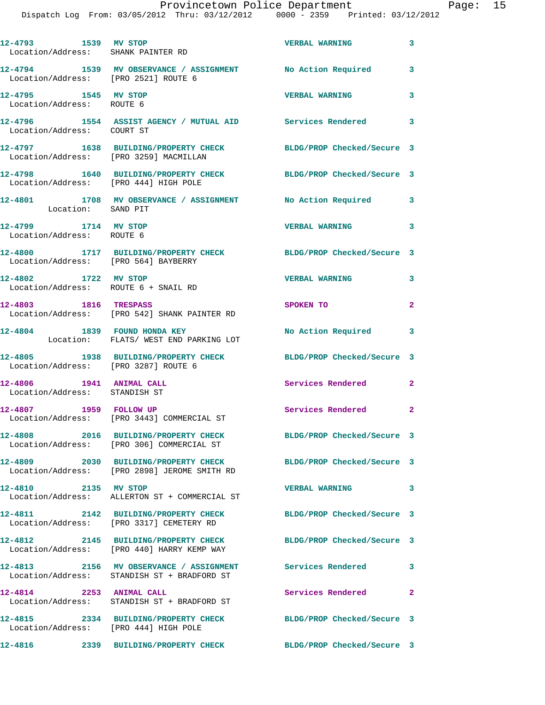| 12-4793 1539 MV STOP                                      | Location/Address: SHANK PAINTER RD                                                                       | <b>VERBAL WARNING</b>      | $\overline{\mathbf{3}}$  |
|-----------------------------------------------------------|----------------------------------------------------------------------------------------------------------|----------------------------|--------------------------|
| Location/Address: [PRO 2521] ROUTE 6                      | 12-4794 1539 MV OBSERVANCE / ASSIGNMENT No Action Required                                               |                            | 3                        |
| 12-4795 1545 MV STOP<br>Location/Address: ROUTE 6         |                                                                                                          | <b>VERBAL WARNING</b>      | 3                        |
| Location/Address: COURT ST                                | 12-4796 1554 ASSIST AGENCY / MUTUAL AID Services Rendered 3                                              |                            |                          |
| Location/Address: [PRO 3259] MACMILLAN                    | 12-4797 1638 BUILDING/PROPERTY CHECK BLDG/PROP Checked/Secure 3                                          |                            |                          |
| Location/Address: [PRO 444] HIGH POLE                     | 12-4798 1640 BUILDING/PROPERTY CHECK                                                                     | BLDG/PROP Checked/Secure 3 |                          |
| Location: SAND PIT                                        | 12-4801 1708 MV OBSERVANCE / ASSIGNMENT No Action Required 3                                             |                            |                          |
| 12-4799 1714 MV STOP<br>Location/Address: ROUTE 6         |                                                                                                          | <b>VERBAL WARNING</b>      | $\overline{\phantom{a}}$ |
| Location/Address: [PRO 564] BAYBERRY                      | 12-4800 1717 BUILDING/PROPERTY CHECK                                                                     | BLDG/PROP Checked/Secure 3 |                          |
| 12-4802 1722 MV STOP                                      | Location/Address: ROUTE 6 + SNAIL RD                                                                     | <b>VERBAL WARNING</b>      | $\mathbf{3}$             |
| 12-4803 1816 TRESPASS                                     | Location/Address: [PRO 542] SHANK PAINTER RD                                                             | SPOKEN TO                  | $\overline{2}$           |
| 12-4804 1839 FOUND HONDA KEY                              | Location: FLATS/WEST END PARKING LOT                                                                     | No Action Required 3       |                          |
| Location/Address: [PRO 3287] ROUTE 6                      | 12-4805 1938 BUILDING/PROPERTY CHECK BLDG/PROP Checked/Secure 3                                          |                            |                          |
| 12-4806 1941 ANIMAL CALL<br>Location/Address: STANDISH ST |                                                                                                          | Services Rendered 2        |                          |
| 12-4807 1959 FOLLOW UP                                    | Location/Address: [PRO 3443] COMMERCIAL ST                                                               | Services Rendered 2        |                          |
|                                                           | 12-4808 2016 BUILDING/PROPERTY CHECK<br>Location/Address: [PRO 306] COMMERCIAL ST                        | BLDG/PROP Checked/Secure 3 |                          |
|                                                           | 12-4809 2030 BUILDING/PROPERTY CHECK<br>Location/Address: [PRO 2898] JEROME SMITH RD                     | BLDG/PROP Checked/Secure 3 |                          |
| 12-4810 2135 MV STOP                                      | Location/Address: ALLERTON ST + COMMERCIAL ST                                                            | <b>VERBAL WARNING</b>      | 3                        |
|                                                           | 12-4811 2142 BUILDING/PROPERTY CHECK<br>Location/Address: [PRO 3317] CEMETERY RD                         | BLDG/PROP Checked/Secure 3 |                          |
|                                                           | 12-4812 2145 BUILDING/PROPERTY CHECK<br>Location/Address: [PRO 440] HARRY KEMP WAY                       | BLDG/PROP Checked/Secure 3 |                          |
|                                                           | 12-4813 2156 MV OBSERVANCE / ASSIGNMENT Services Rendered<br>Location/Address: STANDISH ST + BRADFORD ST |                            | 3                        |
| 12-4814 2253 ANIMAL CALL                                  | Location/Address: STANDISH ST + BRADFORD ST                                                              | Services Rendered          | $\overline{2}$           |
| Location/Address: [PRO 444] HIGH POLE                     | 12-4815 2334 BUILDING/PROPERTY CHECK                                                                     | BLDG/PROP Checked/Secure 3 |                          |
| 12-4816                                                   | 2339 BUILDING/PROPERTY CHECK                                                                             | BLDG/PROP Checked/Secure 3 |                          |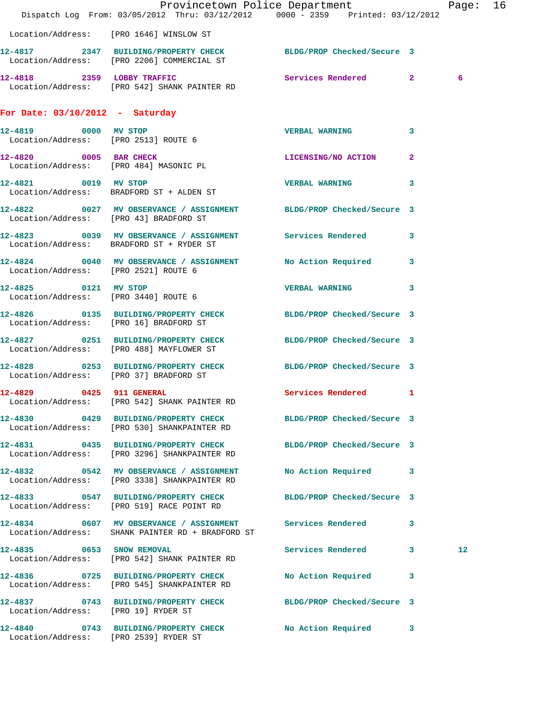|                                                              | Dispatch Log From: 03/05/2012 Thru: 03/12/2012 0000 - 2359 Printed: 03/12/2012                                 | Provincetown Police Department |   | Page: 16 |  |
|--------------------------------------------------------------|----------------------------------------------------------------------------------------------------------------|--------------------------------|---|----------|--|
|                                                              | Location/Address: [PRO 1646] WINSLOW ST                                                                        |                                |   |          |  |
|                                                              | 12-4817 2347 BUILDING/PROPERTY CHECK BLDG/PROP Checked/Secure 3<br>Location/Address: [PRO 2206] COMMERCIAL ST  |                                |   |          |  |
|                                                              | 12-4818 2359 LOBBY TRAFFIC<br>Location/Address: [PRO 542] SHANK PAINTER RD                                     | Services Rendered 2            |   | 6        |  |
| For Date: $03/10/2012$ - Saturday                            |                                                                                                                |                                |   |          |  |
| 12-4819 0000 MV STOP<br>Location/Address: [PRO 2513] ROUTE 6 |                                                                                                                | <b>VERBAL WARNING</b>          | 3 |          |  |
| 12-4820 0005 BAR CHECK                                       | Location/Address: [PRO 484] MASONIC PL                                                                         | LICENSING/NO ACTION 2          |   |          |  |
|                                                              | 12-4821 0019 MV STOP<br>Location/Address: BRADFORD ST + ALDEN ST                                               | <b>VERBAL WARNING</b>          | 3 |          |  |
|                                                              | 12-4822 0027 MV OBSERVANCE / ASSIGNMENT BLDG/PROP Checked/Secure 3<br>Location/Address: [PRO 43] BRADFORD ST   |                                |   |          |  |
|                                                              | 12-4823 0039 MV OBSERVANCE / ASSIGNMENT Services Rendered 3<br>Location/Address: BRADFORD ST + RYDER ST        |                                |   |          |  |
| Location/Address: [PRO 2521] ROUTE 6                         | 12-4824 0040 MV OBSERVANCE / ASSIGNMENT No Action Required 3                                                   |                                |   |          |  |
| 12-4825 0121 MV STOP<br>Location/Address: [PRO 3440] ROUTE 6 |                                                                                                                | VERBAL WARNING 3               |   |          |  |
| Location/Address: [PRO 16] BRADFORD ST                       | 12-4826 0135 BUILDING/PROPERTY CHECK BLDG/PROP Checked/Secure 3                                                |                                |   |          |  |
|                                                              | 12-4827 0251 BUILDING/PROPERTY CHECK BLDG/PROP Checked/Secure 3<br>Location/Address: [PRO 488] MAYFLOWER ST    |                                |   |          |  |
| Location/Address: [PRO 37] BRADFORD ST                       | 12-4828 0253 BUILDING/PROPERTY CHECK BLDG/PROP Checked/Secure 3                                                |                                |   |          |  |
| 0425 911 GENERAL<br>12-4829                                  | Location/Address: [PRO 542] SHANK PAINTER RD                                                                   | Services Rendered 1            |   |          |  |
|                                                              | 12-4830 0429 BUILDING/PROPERTY CHECK BLDG/PROP Checked/Secure 3<br>Location/Address: [PRO 530] SHANKPAINTER RD |                                |   |          |  |
|                                                              | 12-4831 0435 BUILDING/PROPERTY CHECK<br>Location/Address: [PRO 3296] SHANKPAINTER RD                           | BLDG/PROP Checked/Secure 3     |   |          |  |
|                                                              | 12-4832 0542 MV OBSERVANCE / ASSIGNMENT No Action Required 3<br>Location/Address: [PRO 3338] SHANKPAINTER RD   |                                |   |          |  |
|                                                              | 12-4833 0547 BUILDING/PROPERTY CHECK BLDG/PROP Checked/Secure 3<br>Location/Address: [PRO 519] RACE POINT RD   |                                |   |          |  |
|                                                              | 12-4834 0607 MV OBSERVANCE / ASSIGNMENT Services Rendered<br>Location/Address: SHANK PAINTER RD + BRADFORD ST  |                                | 3 |          |  |
|                                                              | 12-4835 0653 SNOW REMOVAL<br>Location/Address: [PRO 542] SHANK PAINTER RD                                      | Services Rendered 3            |   | 12       |  |
|                                                              | 12-4836 0725 BUILDING/PROPERTY CHECK<br>Location/Address: [PRO 545] SHANKPAINTER RD                            | No Action Required 3           |   |          |  |
| Location/Address: [PRO 19] RYDER ST                          | 12-4837 0743 BUILDING/PROPERTY CHECK BLDG/PROP Checked/Secure 3                                                |                                |   |          |  |
| Location/Address: [PRO 2539] RYDER ST                        | 12-4840 0743 BUILDING/PROPERTY CHECK                                                                           | No Action Required 3           |   |          |  |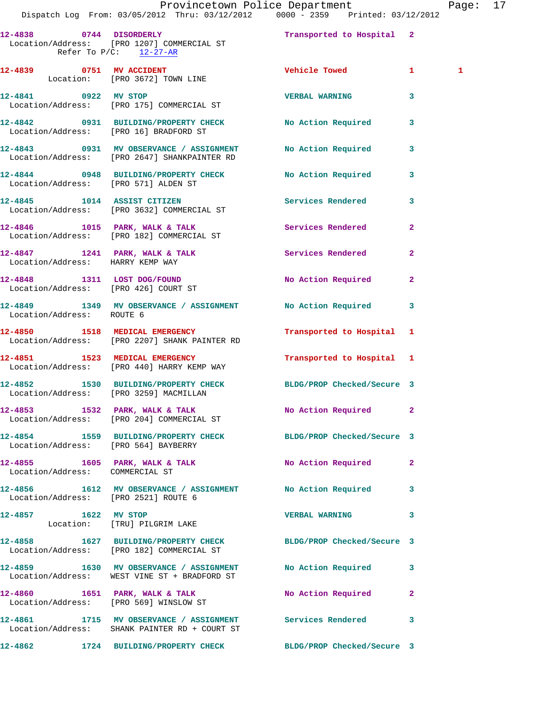| 12-4838 0744 DISORDERLY                              | Location/Address: [PRO 1207] COMMERCIAL ST<br>Refer To $P/C$ : 12-27-AR                                      | Transported to Hospital 2  |                |
|------------------------------------------------------|--------------------------------------------------------------------------------------------------------------|----------------------------|----------------|
|                                                      | 12-4839 0751 MV ACCIDENT<br>Location: [PRO 3672] TOWN LINE                                                   | Vehicle Towed              | $\mathbf{1}$   |
|                                                      | 12-4841 0922 MV STOP<br>Location/Address: [PRO 175] COMMERCIAL ST                                            | <b>VERBAL WARNING</b>      | 3              |
|                                                      | 12-4842 0931 BUILDING/PROPERTY CHECK No Action Required<br>Location/Address: [PRO 16] BRADFORD ST            |                            | 3              |
|                                                      | 12-4843 0931 MV OBSERVANCE / ASSIGNMENT No Action Required<br>Location/Address: [PRO 2647] SHANKPAINTER RD   |                            | 3              |
|                                                      | 12-4844 0948 BUILDING/PROPERTY CHECK No Action Required<br>Location/Address: [PRO 571] ALDEN ST              |                            | 3              |
|                                                      | 12-4845 1014 ASSIST CITIZEN<br>Location/Address: [PRO 3632] COMMERCIAL ST                                    | Services Rendered          | 3              |
|                                                      | 12-4846 1015 PARK, WALK & TALK<br>Location/Address: [PRO 182] COMMERCIAL ST                                  | Services Rendered          | $\overline{a}$ |
| Location/Address: HARRY KEMP WAY                     | 12-4847 1241 PARK, WALK & TALK Services Rendered                                                             |                            | $\mathbf{2}$   |
|                                                      | 12-4848 1311 LOST DOG/FOUND<br>Location/Address: [PRO 426] COURT ST                                          | No Action Required         | $\overline{a}$ |
| Location/Address: ROUTE 6                            | 12-4849 1349 MV OBSERVANCE / ASSIGNMENT No Action Required                                                   |                            | 3              |
|                                                      | 12-4850 1518 MEDICAL EMERGENCY<br>Location/Address: [PRO 2207] SHANK PAINTER RD                              | Transported to Hospital 1  |                |
|                                                      | 12-4851 1523 MEDICAL EMERGENCY<br>Location/Address: [PRO 440] HARRY KEMP WAY                                 | Transported to Hospital 1  |                |
|                                                      | 12-4852 1530 BUILDING/PROPERTY CHECK BLDG/PROP Checked/Secure 3<br>Location/Address: [PRO 3259] MACMILLAN    |                            |                |
|                                                      | 12-4853 1532 PARK, WALK & TALK<br>Location/Address: [PRO 204] COMMERCIAL ST                                  | No Action Required         | $\mathbf{2}$   |
| Location/Address: [PRO 564] BAYBERRY                 | 12-4854 1559 BUILDING/PROPERTY CHECK BLDG/PROP Checked/Secure 3                                              |                            |                |
| Location/Address: COMMERCIAL ST                      | 12-4855 1605 PARK, WALK & TALK 1999 No Action Required                                                       |                            | $\mathbf{2}$   |
| Location/Address: [PRO 2521] ROUTE 6                 | 12-4856 1612 MV OBSERVANCE / ASSIGNMENT No Action Required                                                   |                            | 3              |
| 12-4857 1622 MV STOP<br>Location: [TRU] PILGRIM LAKE |                                                                                                              | <b>VERBAL WARNING</b>      | 3              |
|                                                      | 12-4858 1627 BUILDING/PROPERTY CHECK BLDG/PROP Checked/Secure 3<br>Location/Address: [PRO 182] COMMERCIAL ST |                            |                |
|                                                      | 12-4859 1630 MV OBSERVANCE / ASSIGNMENT No Action Required<br>Location/Address: WEST VINE ST + BRADFORD ST   |                            | 3              |
|                                                      | 12-4860 1651 PARK, WALK & TALK NO Action Required<br>Location/Address: [PRO 569] WINSLOW ST                  |                            | $\mathbf{2}$   |
|                                                      | 12-4861 1715 MV OBSERVANCE / ASSIGNMENT Services Rendered<br>Location/Address: SHANK PAINTER RD + COURT ST   |                            | 3              |
|                                                      | 12-4862 1724 BUILDING/PROPERTY CHECK                                                                         | BLDG/PROP Checked/Secure 3 |                |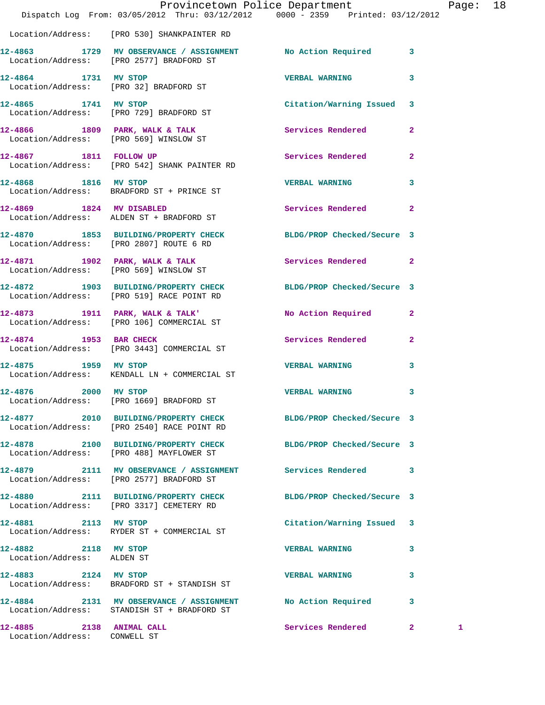|                                                          | Provincetown Police Department<br>Dispatch Log From: 03/05/2012 Thru: 03/12/2012 0000 - 2359 Printed: 03/12/2012 |                            |              | Page: 18 |  |
|----------------------------------------------------------|------------------------------------------------------------------------------------------------------------------|----------------------------|--------------|----------|--|
|                                                          | Location/Address: [PRO 530] SHANKPAINTER RD                                                                      |                            |              |          |  |
|                                                          | 12-4863 1729 MV OBSERVANCE / ASSIGNMENT No Action Required 3<br>Location/Address: [PRO 2577] BRADFORD ST         |                            |              |          |  |
| 12-4864 1731 MV STOP                                     | Location/Address: [PRO 32] BRADFORD ST                                                                           | <b>VERBAL WARNING 3</b>    |              |          |  |
|                                                          | 12-4865 1741 MV STOP<br>Location/Address: [PRO 729] BRADFORD ST                                                  | Citation/Warning Issued 3  |              |          |  |
|                                                          | 12-4866 1809 PARK, WALK & TALK 6 Services Rendered 2<br>Location/Address: [PRO 569] WINSLOW ST                   |                            |              |          |  |
|                                                          | 12-4867 1811 FOLLOW UP<br>Location/Address: [PRO 542] SHANK PAINTER RD                                           | Services Rendered          | $\mathbf{2}$ |          |  |
| 12-4868 1816 MV STOP                                     | Location/Address: BRADFORD ST + PRINCE ST                                                                        | <b>VERBAL WARNING</b>      | 3            |          |  |
|                                                          | 12-4869 1824 MV DISABLED<br>Location/Address: ALDEN ST + BRADFORD ST                                             | Services Rendered          | $\mathbf{2}$ |          |  |
|                                                          | 12-4870 1853 BUILDING/PROPERTY CHECK<br>Location/Address: [PRO 2807] ROUTE 6 RD                                  | BLDG/PROP Checked/Secure 3 |              |          |  |
|                                                          | 12-4871 1902 PARK, WALK & TALK<br>Location/Address: [PRO 569] WINSLOW ST                                         | Services Rendered 2        |              |          |  |
|                                                          | 12-4872 1903 BUILDING/PROPERTY CHECK<br>Location/Address: [PRO 519] RACE POINT RD                                | BLDG/PROP Checked/Secure 3 |              |          |  |
|                                                          | 12-4873 1911 PARK, WALK & TALK'<br>Location/Address: [PRO 106] COMMERCIAL ST                                     | No Action Required 2       |              |          |  |
|                                                          | 12-4874 1953 BAR CHECK<br>Location/Address: [PRO 3443] COMMERCIAL ST                                             | Services Rendered          | $\mathbf{2}$ |          |  |
| 12-4875 1959 MV STOP                                     | Location/Address: KENDALL LN + COMMERCIAL ST                                                                     | VERBAL WARNING 3           |              |          |  |
| 12-4876                                                  | 2000 MV STOP<br>Location/Address: [PRO 1669] BRADFORD ST                                                         | <b>VERBAL WARNING</b>      | 3            |          |  |
|                                                          | 12-4877 2010 BUILDING/PROPERTY CHECK<br>Location/Address: [PRO 2540] RACE POINT RD                               | BLDG/PROP Checked/Secure 3 |              |          |  |
|                                                          | 12-4878 2100 BUILDING/PROPERTY CHECK<br>Location/Address: [PRO 488] MAYFLOWER ST                                 | BLDG/PROP Checked/Secure 3 |              |          |  |
|                                                          | 12-4879 2111 MV OBSERVANCE / ASSIGNMENT Services Rendered 3<br>Location/Address: [PRO 2577] BRADFORD ST          |                            |              |          |  |
|                                                          | 12-4880 2111 BUILDING/PROPERTY CHECK<br>Location/Address: [PRO 3317] CEMETERY RD                                 | BLDG/PROP Checked/Secure 3 |              |          |  |
| 12-4881 2113 MV STOP                                     | Location/Address: RYDER ST + COMMERCIAL ST                                                                       | Citation/Warning Issued 3  |              |          |  |
| 12-4882 2118 MV STOP<br>Location/Address: ALDEN ST       |                                                                                                                  | <b>VERBAL WARNING</b>      | 3            |          |  |
| 12-4883 2124 MV STOP                                     | Location/Address: BRADFORD ST + STANDISH ST                                                                      | <b>VERBAL WARNING</b>      | 3            |          |  |
|                                                          | 12-4884 2131 MV OBSERVANCE / ASSIGNMENT<br>Location/Address: STANDISH ST + BRADFORD ST                           | No Action Required         | 3            |          |  |
| 12-4885 2138 ANIMAL CALL<br>Location/Address: CONWELL ST |                                                                                                                  | Services Rendered 2        |              | 1        |  |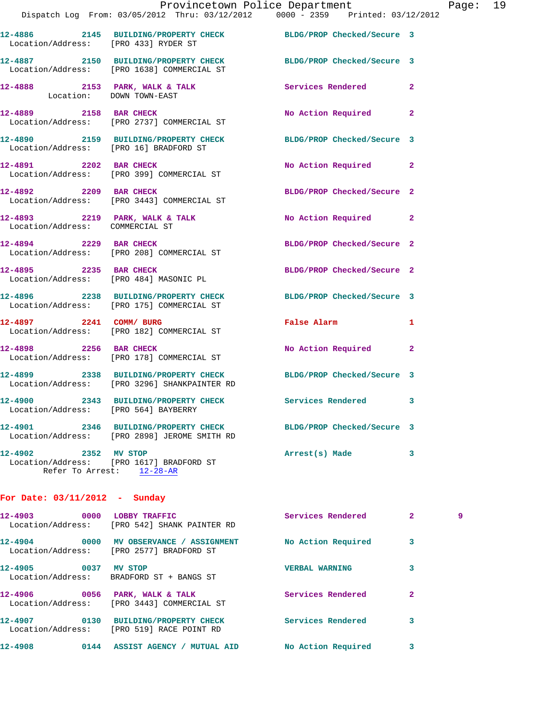|                                        | Provincetown Police Department                                                                                |                                                     |              | Page: 19 |  |
|----------------------------------------|---------------------------------------------------------------------------------------------------------------|-----------------------------------------------------|--------------|----------|--|
|                                        | Dispatch Log From: 03/05/2012 Thru: 03/12/2012   0000 - 2359   Printed: 03/12/2012                            |                                                     |              |          |  |
|                                        | 12-4886 2145 BUILDING/PROPERTY CHECK BLDG/PROP Checked/Secure 3<br>Location/Address: [PRO 433] RYDER ST       |                                                     |              |          |  |
|                                        | 12-4887 2150 BUILDING/PROPERTY CHECK BLDG/PROP Checked/Secure 3<br>Location/Address: [PRO 1638] COMMERCIAL ST |                                                     |              |          |  |
|                                        |                                                                                                               |                                                     |              |          |  |
|                                        | 12-4889 2158 BAR CHECK<br>Location/Address: [PRO 2737] COMMERCIAL ST                                          | No Action Required 2                                |              |          |  |
| Location/Address: [PRO 16] BRADFORD ST | 12-4890 2159 BUILDING/PROPERTY CHECK BLDG/PROP Checked/Secure 3                                               |                                                     |              |          |  |
|                                        | 12-4891 2202 BAR CHECK<br>Location/Address: [PRO 399] COMMERCIAL ST                                           | No Action Required 2                                |              |          |  |
| 12-4892 2209 BAR CHECK                 | Location/Address: [PRO 3443] COMMERCIAL ST                                                                    | BLDG/PROP Checked/Secure 2                          |              |          |  |
| Location/Address: COMMERCIAL ST        | 12-4893 2219 PARK, WALK & TALK                                                                                | No Action Required 2                                |              |          |  |
|                                        | 12-4894 2229 BAR CHECK<br>Location/Address: [PRO 208] COMMERCIAL ST                                           | BLDG/PROP Checked/Secure 2                          |              |          |  |
|                                        | 12-4895 2235 BAR CHECK<br>Location/Address: [PRO 484] MASONIC PL                                              | BLDG/PROP Checked/Secure 2                          |              |          |  |
|                                        | 12-4896 2238 BUILDING/PROPERTY CHECK<br>Location/Address: [PRO 175] COMMERCIAL ST                             | BLDG/PROP Checked/Secure 3                          |              |          |  |
| 12-4897 2241 COMM/BURG                 | Location/Address: [PRO 182] COMMERCIAL ST                                                                     | False Alarm <b>Exercise Service Service Service</b> | $\mathbf{1}$ |          |  |
| 12-4898 2256 BAR CHECK                 | Location/Address: [PRO 178] COMMERCIAL ST                                                                     | No Action Required 2                                |              |          |  |
|                                        | 12-4899 2338 BUILDING/PROPERTY CHECK<br>Location/Address: [PRO 3296] SHANKPAINTER RD                          | BLDG/PROP Checked/Secure 3                          |              |          |  |
| Location/Address: [PRO 564] BAYBERRY   | 12-4900 2343 BUILDING/PROPERTY CHECK Services Rendered 3                                                      |                                                     |              |          |  |
|                                        | 12-4901 2346 BUILDING/PROPERTY CHECK<br>Location/Address: [PRO 2898] JEROME SMITH RD                          | BLDG/PROP Checked/Secure 3                          |              |          |  |

**12-4902 2352 MV STOP Arrest(s) Made 3**  Location/Address: [PRO 1617] BRADFORD ST Refer To Arrest: 12-28-AR

## **For Date: 03/11/2012 - Sunday**

| $12 - 4903$                  | 0000 | LOBBY TRAFFIC<br>Location/Address: [PRO 542] SHANK PAINTER RD | Services Rendered     | $\overline{2}$ | 9 |
|------------------------------|------|---------------------------------------------------------------|-----------------------|----------------|---|
| 12-4904<br>Location/Address: | 0000 | MV OBSERVANCE / ASSIGNMENT<br>[PRO 2577] BRADFORD ST          | No Action Required    | 3              |   |
| 12-4905<br>Location/Address: | 0037 | MV STOP<br>BRADFORD ST + BANGS ST                             | <b>VERBAL WARNING</b> | 3              |   |
| 12-4906<br>Location/Address: | 0056 | PARK, WALK & TALK<br>[PRO 3443] COMMERCIAL ST                 | Services Rendered     | 2              |   |
| 12-4907<br>Location/Address: | 0130 | <b>BUILDING/PROPERTY CHECK</b><br>[PRO 519] RACE POINT RD     | Services Rendered     | 3              |   |
| 12-4908                      | 0144 | <b>ASSIST AGENCY</b><br><b>MUTUAL AID</b>                     | No Action Required    |                |   |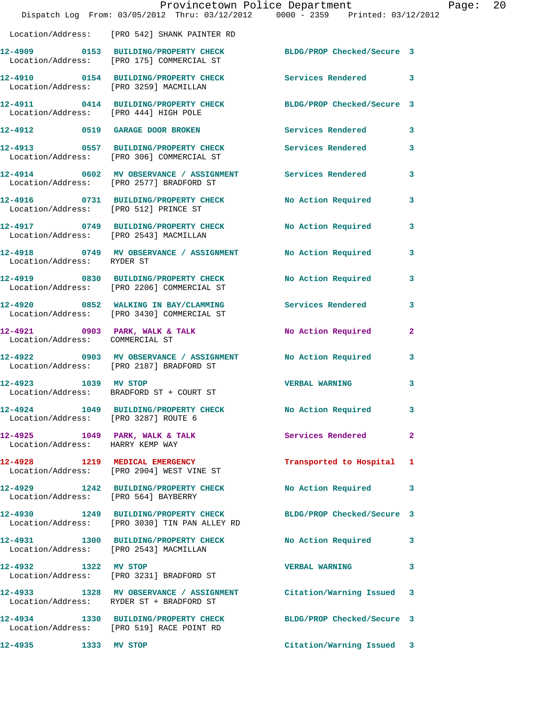|                                                                      | Provincetown Police Department<br>Dispatch Log From: 03/05/2012 Thru: 03/12/2012 0000 - 2359 Printed: 03/12/2012 |                            |                |
|----------------------------------------------------------------------|------------------------------------------------------------------------------------------------------------------|----------------------------|----------------|
|                                                                      | Location/Address: [PRO 542] SHANK PAINTER RD                                                                     |                            |                |
|                                                                      | 12-4909 0153 BUILDING/PROPERTY CHECK BLDG/PROP Checked/Secure 3<br>Location/Address: [PRO 175] COMMERCIAL ST     |                            |                |
|                                                                      | 12-4910 0154 BUILDING/PROPERTY CHECK<br>Location/Address: [PRO 3259] MACMILLAN                                   | <b>Services Rendered</b>   | 3              |
| Location/Address: [PRO 444] HIGH POLE                                | 12-4911 0414 BUILDING/PROPERTY CHECK BLDG/PROP Checked/Secure 3                                                  |                            |                |
|                                                                      | 12-4912 0519 GARAGE DOOR BROKEN                                                                                  | <b>Services Rendered</b>   | 3              |
|                                                                      | 12-4913 0557 BUILDING/PROPERTY CHECK Services Rendered<br>Location/Address: [PRO 306] COMMERCIAL ST              |                            | 3              |
|                                                                      |                                                                                                                  |                            | 3              |
| Location/Address: [PRO 512] PRINCE ST                                | 12-4916 0731 BUILDING/PROPERTY CHECK                                                                             | No Action Required         | 3              |
|                                                                      | 12-4917 0749 BUILDING/PROPERTY CHECK<br>Location/Address: [PRO 2543] MACMILLAN                                   | <b>No Action Required</b>  | 3              |
| Location/Address: RYDER ST                                           | 12-4918 0749 MV OBSERVANCE / ASSIGNMENT                                                                          | No Action Required         | 3              |
|                                                                      | 12-4919 0830 BUILDING/PROPERTY CHECK<br>Location/Address: [PRO 2206] COMMERCIAL ST                               | No Action Required         | 3              |
|                                                                      | 12-4920 0852 WALKING IN BAY/CLAMMING Services Rendered<br>Location/Address: [PRO 3430] COMMERCIAL ST             |                            | 3              |
| Location/Address: COMMERCIAL ST                                      | 12-4921 0903 PARK, WALK & TALK                                                                                   | No Action Required         | $\overline{a}$ |
|                                                                      | 12-4922 0903 MV OBSERVANCE / ASSIGNMENT<br>Location/Address: [PRO 2187] BRADFORD ST                              | <b>No Action Required</b>  | 3              |
| 12-4923 1039 MV STOP                                                 | Location/Address: BRADFORD ST + COURT ST                                                                         | <b>VERBAL WARNING</b>      | 3              |
| Location/Address: [PRO 3287] ROUTE 6                                 | 12-4924 1049 BUILDING/PROPERTY CHECK                                                                             | No Action Required         | 3              |
| $12-4925$ 1049 PARK, WALK & TALK<br>Location/Address: HARRY KEMP WAY |                                                                                                                  | Services Rendered          | $\mathbf{2}$   |
|                                                                      | 12-4928 1219 MEDICAL EMERGENCY<br>Location/Address: [PRO 2904] WEST VINE ST                                      | Transported to Hospital    | 1              |
| Location/Address: [PRO 564] BAYBERRY                                 | 12-4929 1242 BUILDING/PROPERTY CHECK                                                                             | No Action Required         | 3              |
|                                                                      | 12-4930 1249 BUILDING/PROPERTY CHECK<br>Location/Address: [PRO 3030] TIN PAN ALLEY RD                            | BLDG/PROP Checked/Secure 3 |                |
| Location/Address: [PRO 2543] MACMILLAN                               | 12-4931 1300 BUILDING/PROPERTY CHECK                                                                             | No Action Required         | 3              |
| 12-4932 1322 MV STOP                                                 | Location/Address: [PRO 3231] BRADFORD ST                                                                         | <b>VERBAL WARNING</b>      | 3              |
|                                                                      | 12-4933 1328 MV OBSERVANCE / ASSIGNMENT<br>Location/Address: RYDER ST + BRADFORD ST                              | Citation/Warning Issued    | 3              |
|                                                                      | 12-4934 1330 BUILDING/PROPERTY CHECK<br>Location/Address: [PRO 519] RACE POINT RD                                | BLDG/PROP Checked/Secure 3 |                |
| 12-4935<br>1333 MV STOP                                              |                                                                                                                  | Citation/Warning Issued    | 3              |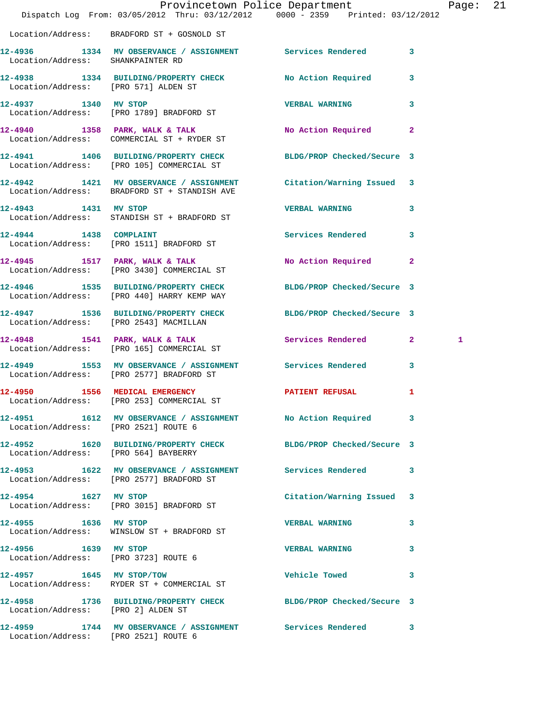|                                      |                                                                                                                   | Provincetown Police Department | Page: 21     |
|--------------------------------------|-------------------------------------------------------------------------------------------------------------------|--------------------------------|--------------|
|                                      | Dispatch Log From: 03/05/2012 Thru: 03/12/2012 0000 - 2359 Printed: 03/12/2012                                    |                                |              |
|                                      | Location/Address: BRADFORD ST + GOSNOLD ST                                                                        |                                |              |
| Location/Address: SHANKPAINTER RD    | 12-4936 1334 MV OBSERVANCE / ASSIGNMENT Services Rendered 3                                                       |                                |              |
| Location/Address: [PRO 571] ALDEN ST | 12-4938 1334 BUILDING/PROPERTY CHECK No Action Required 3                                                         |                                |              |
|                                      | 12-4937 1340 MV STOP<br>Location/Address: [PRO 1789] BRADFORD ST                                                  | <b>VERBAL WARNING</b>          | 3            |
|                                      | 12-4940 1358 PARK, WALK & TALK<br>Location/Address: COMMERCIAL ST + RYDER ST                                      | No Action Required 2           |              |
|                                      | 12-4941 1406 BUILDING/PROPERTY CHECK BLDG/PROP Checked/Secure 3<br>Location/Address: [PRO 105] COMMERCIAL ST      |                                |              |
|                                      | 12-4942 1421 MV OBSERVANCE / ASSIGNMENT Citation/Warning Issued 3<br>Location/Address: BRADFORD ST + STANDISH AVE |                                |              |
|                                      | 12-4943 1431 MV STOP<br>Location/Address: STANDISH ST + BRADFORD ST                                               | <b>VERBAL WARNING</b>          | 3            |
|                                      | 12-4944 1438 COMPLAINT<br>Location/Address: [PRO 1511] BRADFORD ST                                                | <b>Services Rendered</b>       | 3            |
|                                      | 12-4945 1517 PARK, WALK & TALK<br>Location/Address: [PRO 3430] COMMERCIAL ST                                      | No Action Required 2           |              |
|                                      | 12-4946 1535 BUILDING/PROPERTY CHECK<br>Location/Address: [PRO 440] HARRY KEMP WAY                                | BLDG/PROP Checked/Secure 3     |              |
|                                      | 12-4947 1536 BUILDING/PROPERTY CHECK BLDG/PROP Checked/Secure 3<br>Location/Address: [PRO 2543] MACMILLAN         |                                |              |
|                                      | $12-4948$ 1541 PARK, WALK & TALK<br>Location/Address: [PRO 165] COMMERCIAL ST                                     | Services Rendered 2            | 1            |
|                                      | 12-4949 1553 MV OBSERVANCE / ASSIGNMENT Services Rendered 3<br>Location/Address: [PRO 2577] BRADFORD ST           |                                |              |
|                                      | Location/Address: [PRO 253] COMMERCIAL ST                                                                         | <b>PATIENT REFUSAL</b>         | $\mathbf{I}$ |
| Location/Address: [PRO 2521] ROUTE 6 | 12-4951 1612 MV OBSERVANCE / ASSIGNMENT No Action Required 3                                                      |                                |              |
| Location/Address: [PRO 564] BAYBERRY | 12-4952 1620 BUILDING/PROPERTY CHECK BLDG/PROP Checked/Secure 3                                                   |                                |              |
|                                      | 12-4953 1622 MV OBSERVANCE / ASSIGNMENT Services Rendered 3<br>Location/Address: [PRO 2577] BRADFORD ST           |                                |              |
| 12-4954 1627 MV STOP                 | Location/Address: [PRO 3015] BRADFORD ST                                                                          | Citation/Warning Issued 3      |              |
| 12-4955 1636 MV STOP                 | Location/Address: WINSLOW ST + BRADFORD ST                                                                        | <b>VERBAL WARNING</b>          | 3            |
| 12-4956 1639 MV STOP                 | Location/Address: [PRO 3723] ROUTE 6                                                                              | <b>VERBAL WARNING</b>          | 3            |
|                                      | 12-4957 1645 MV STOP/TOW<br>Location/Address: RYDER ST + COMMERCIAL ST                                            | <b>Vehicle Towed State</b>     | 3            |
| Location/Address: [PRO 2] ALDEN ST   | 12-4958 1736 BUILDING/PROPERTY CHECK BLDG/PROP Checked/Secure 3                                                   |                                |              |
|                                      | 12-4959 1744 MV OBSERVANCE / ASSIGNMENT Services Rendered 3                                                       |                                |              |

Location/Address: [PRO 2521] ROUTE 6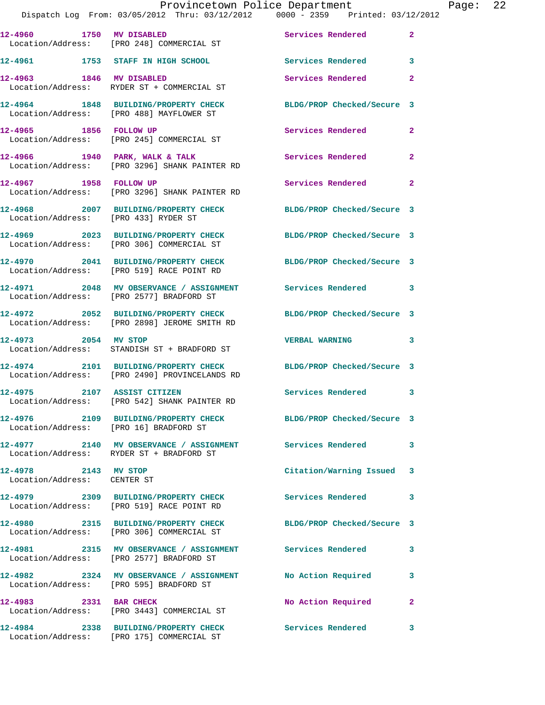|                                                     | Dispatch Log From: 03/05/2012 Thru: 03/12/2012 0000 - 2359 Printed: 03/12/2012                              | Provincetown Police Department |              | Page: | 22 |
|-----------------------------------------------------|-------------------------------------------------------------------------------------------------------------|--------------------------------|--------------|-------|----|
|                                                     | 12-4960 1750 MV DISABLED<br>Location/Address: [PRO 248] COMMERCIAL ST                                       | Services Rendered              | $\mathbf{2}$ |       |    |
|                                                     | 12-4961 1753 STAFF IN HIGH SCHOOL Services Rendered                                                         |                                | 3            |       |    |
| 12-4963 1846 MV DISABLED                            | Location/Address: RYDER ST + COMMERCIAL ST                                                                  | Services Rendered              | $\mathbf{2}$ |       |    |
|                                                     | 12-4964 1848 BUILDING/PROPERTY CHECK BLDG/PROP Checked/Secure 3<br>Location/Address: [PRO 488] MAYFLOWER ST |                                |              |       |    |
|                                                     | 12-4965 1856 FOLLOW UP<br>Location/Address: [PRO 245] COMMERCIAL ST                                         | Services Rendered              | $\mathbf{2}$ |       |    |
|                                                     | 12-4966 1940 PARK, WALK & TALK<br>Location/Address: [PRO 3296] SHANK PAINTER RD                             | Services Rendered              | $\mathbf{2}$ |       |    |
|                                                     | 12-4967 1958 FOLLOW UP<br>Location/Address: [PRO 3296] SHANK PAINTER RD                                     | Services Rendered              | $\mathbf{2}$ |       |    |
| Location/Address: [PRO 433] RYDER ST                | 12-4968 2007 BUILDING/PROPERTY CHECK                                                                        | BLDG/PROP Checked/Secure 3     |              |       |    |
|                                                     | 12-4969 2023 BUILDING/PROPERTY CHECK<br>Location/Address: [PRO 306] COMMERCIAL ST                           | BLDG/PROP Checked/Secure 3     |              |       |    |
|                                                     | 12-4970 2041 BUILDING/PROPERTY CHECK<br>Location/Address: [PRO 519] RACE POINT RD                           | BLDG/PROP Checked/Secure 3     |              |       |    |
|                                                     | 12-4971 2048 MV OBSERVANCE / ASSIGNMENT Services Rendered<br>Location/Address: [PRO 2577] BRADFORD ST       |                                | 3            |       |    |
|                                                     | 12-4972 2052 BUILDING/PROPERTY CHECK<br>Location/Address: [PRO 2898] JEROME SMITH RD                        | BLDG/PROP Checked/Secure 3     |              |       |    |
| 12-4973 2054 MV STOP                                | Location/Address: STANDISH ST + BRADFORD ST                                                                 | <b>VERBAL WARNING</b>          | 3            |       |    |
|                                                     | 12-4974 2101 BUILDING/PROPERTY CHECK<br>Location/Address: [PRO 2490] PROVINCELANDS RD                       | BLDG/PROP Checked/Secure 3     |              |       |    |
| 12-4975                                             | 2107 ASSIST CITIZEN<br>Location/Address: [PRO 542] SHANK PAINTER RD                                         | Services Rendered 3            |              |       |    |
| Location/Address: [PRO 16] BRADFORD ST              | 12-4976 2109 BUILDING/PROPERTY CHECK BLDG/PROP Checked/Secure 3                                             |                                |              |       |    |
|                                                     | 12-4977 2140 MV OBSERVANCE / ASSIGNMENT Services Rendered<br>Location/Address: RYDER ST + BRADFORD ST       |                                | 3            |       |    |
| 12-4978 2143 MV STOP<br>Location/Address: CENTER ST |                                                                                                             | Citation/Warning Issued        | 3            |       |    |
|                                                     | 12-4979 2309 BUILDING/PROPERTY CHECK<br>Location/Address: [PRO 519] RACE POINT RD                           | <b>Services Rendered</b>       | 3            |       |    |
|                                                     | 12-4980 2315 BUILDING/PROPERTY CHECK<br>Location/Address: [PRO 306] COMMERCIAL ST                           | BLDG/PROP Checked/Secure 3     |              |       |    |
|                                                     | 12-4981 2315 MV OBSERVANCE / ASSIGNMENT Services Rendered<br>Location/Address: [PRO 2577] BRADFORD ST       |                                | 3            |       |    |
|                                                     | 12-4982 2324 MV OBSERVANCE / ASSIGNMENT No Action Required<br>Location/Address: [PRO 595] BRADFORD ST       |                                | 3            |       |    |
| 12-4983 2331 BAR CHECK                              | Location/Address: [PRO 3443] COMMERCIAL ST                                                                  | No Action Required             | $\mathbf{2}$ |       |    |
|                                                     | 12-4984 2338 BUILDING/PROPERTY CHECK<br>Location/Address: [PRO 175] COMMERCIAL ST                           | Services Rendered              | 3            |       |    |